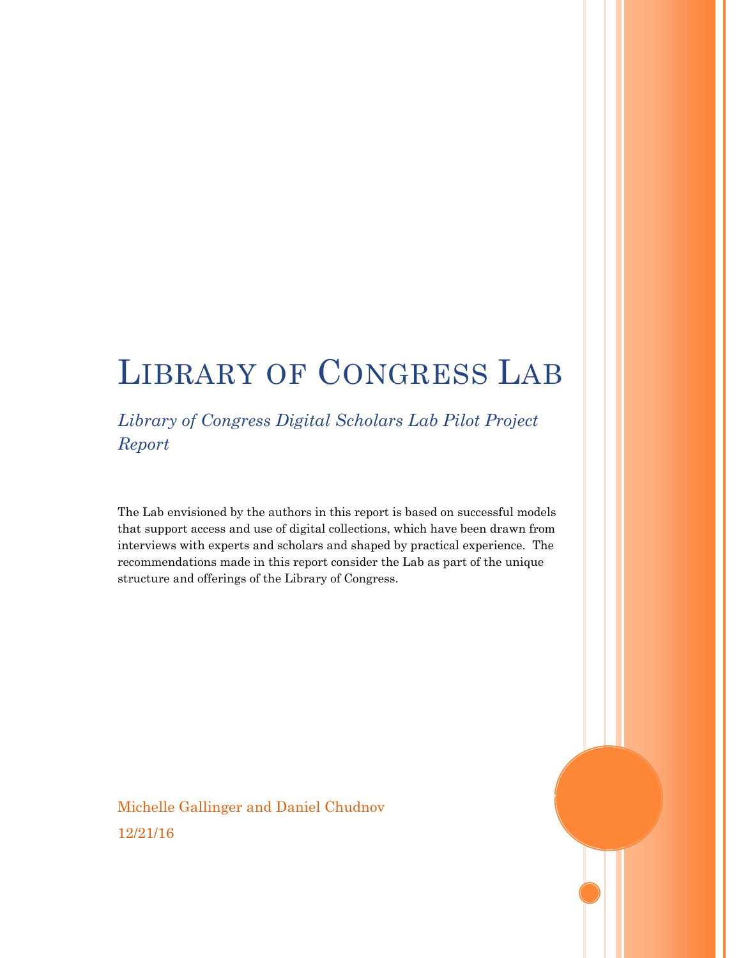# LIBRARY OF CONGRESS LAB

*Library of Congress Digital Scholars Lab Pilot Project Report* 

The Lab envisioned by the authors in this report is based on successful models that support access and use of digital collections, which have been drawn from interviews with experts and scholars and shaped by practical experience. The recommendations made in this report consider the Lab as part of the unique structure and offerings of the Library of Congress.

Michelle Gallinger and Daniel Chudnov 12/21/16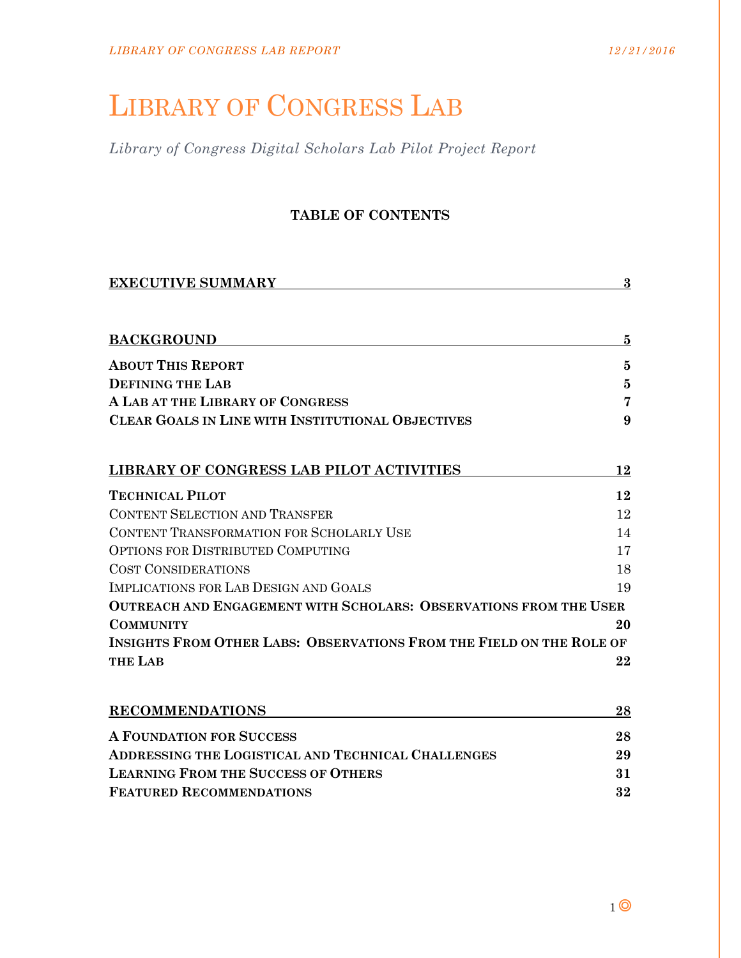# LIBRARY OF CONGRESS LAB

*Library of Congress Digital Scholars Lab Pilot Project Report* 

## **TABLE OF CONTENTS**

| <b>EXECUTIVE SUMMARY</b>                                                    | $\bf{3}$ |
|-----------------------------------------------------------------------------|----------|
| <b>BACKGROUND</b>                                                           | 5        |
| <b>ABOUT THIS REPORT</b>                                                    | 5        |
| <b>DEFINING THE LAB</b>                                                     | 5        |
| A LAB AT THE LIBRARY OF CONGRESS                                            | 7        |
| <b>CLEAR GOALS IN LINE WITH INSTITUTIONAL OBJECTIVES</b>                    | 9        |
| <b>LIBRARY OF CONGRESS LAB PILOT ACTIVITIES</b>                             | 12       |
| <b>TECHNICAL PILOT</b>                                                      | 12       |
| <b>CONTENT SELECTION AND TRANSFER</b>                                       | 12       |
| CONTENT TRANSFORMATION FOR SCHOLARLY USE                                    | 14       |
| <b>OPTIONS FOR DISTRIBUTED COMPUTING</b>                                    | 17       |
| <b>COST CONSIDERATIONS</b>                                                  | 18       |
| IMPLICATIONS FOR LAB DESIGN AND GOALS                                       | 19       |
| <b>OUTREACH AND ENGAGEMENT WITH SCHOLARS: OBSERVATIONS FROM THE USER</b>    |          |
| <b>COMMUNITY</b>                                                            | 20       |
| <b>INSIGHTS FROM OTHER LABS: OBSERVATIONS FROM THE FIELD ON THE ROLE OF</b> |          |
| <b>THE LAB</b>                                                              | 22       |
| <b>RECOMMENDATIONS</b>                                                      | 28       |
| <b>A FOUNDATION FOR SUCCESS</b>                                             | 28       |
| <b>ADDRESSING THE LOGISTICAL AND TECHNICAL CHALLENGES</b>                   | 29       |
| <b>LEARNING FROM THE SUCCESS OF OTHERS</b>                                  | 31       |

**FEATURED RECOMMENDATIONS 32**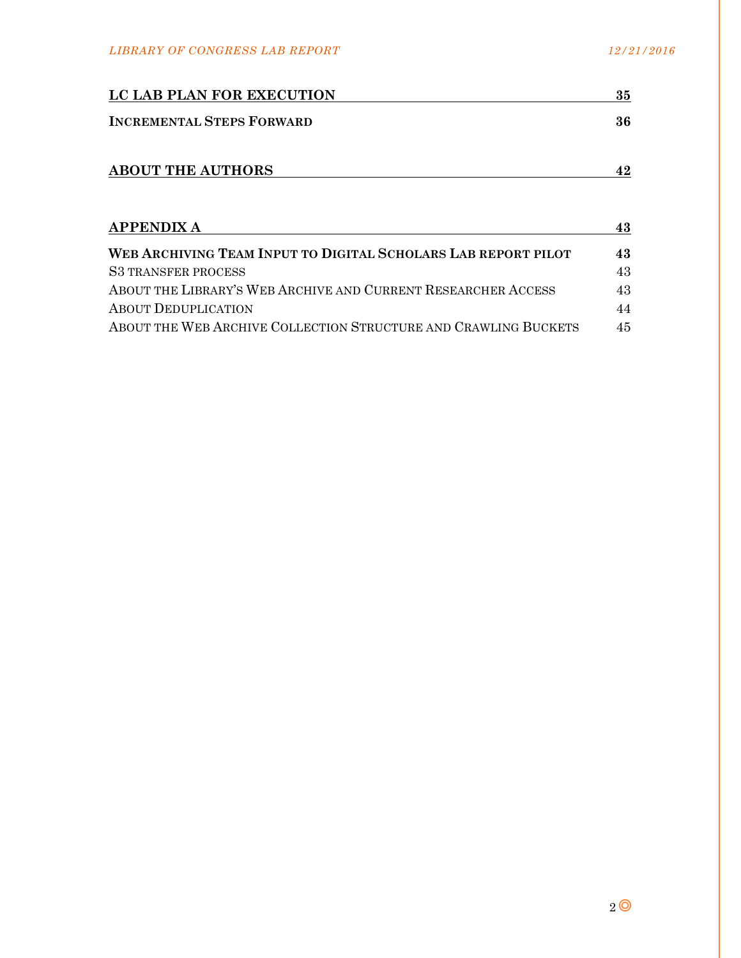| LC LAB PLAN FOR EXECUTION        | 35 |
|----------------------------------|----|
| <b>INCREMENTAL STEPS FORWARD</b> | 36 |
|                                  |    |

| <b>ABOUT THE AUTHORS</b> |  |
|--------------------------|--|
|                          |  |

| <b>APPENDIX A</b>                                               | 43 |
|-----------------------------------------------------------------|----|
| WEB ARCHIVING TEAM INPUT TO DIGITAL SCHOLARS LAB REPORT PILOT   | 43 |
| <b>S3 TRANSFER PROCESS</b>                                      | 43 |
| ABOUT THE LIBRARY'S WEB ARCHIVE AND CURRENT RESEARCHER ACCESS   | 43 |
| <b>ABOUT DEDUPLICATION</b>                                      | 44 |
| ABOUT THE WEB ARCHIVE COLLECTION STRUCTURE AND CRAWLING BUCKETS | 45 |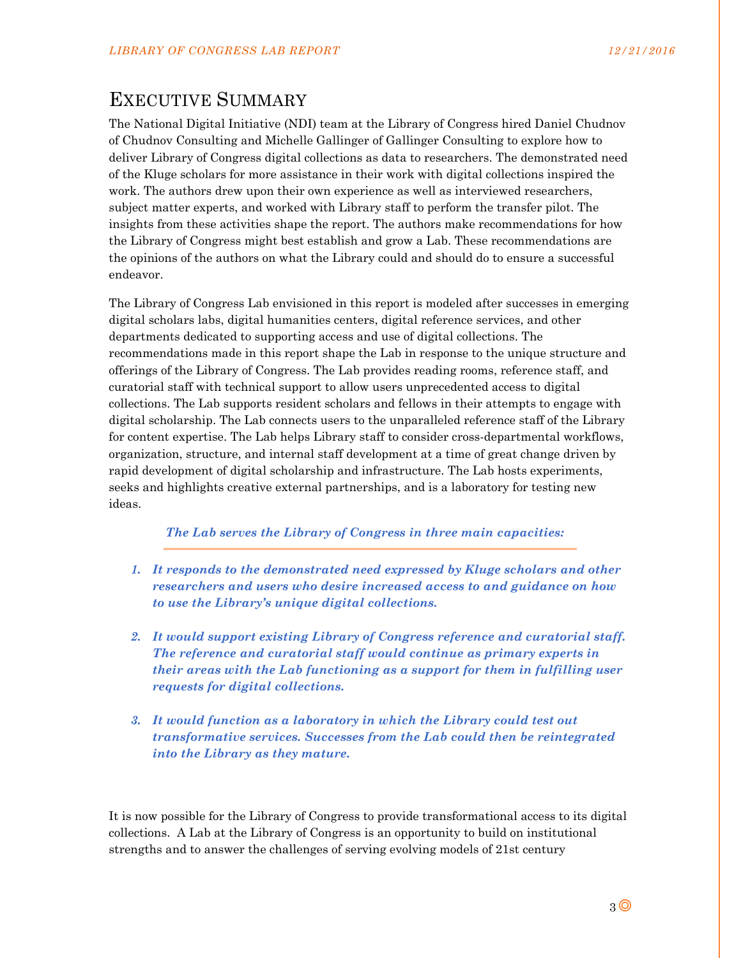# EXECUTIVE SUMMARY

The National Digital Initiative (NDI) team at the Library of Congress hired Daniel Chudnov of Chudnov Consulting and Michelle Gallinger of Gallinger Consulting to explore how to deliver Library of Congress digital collections as data to researchers. The demonstrated need of the Kluge scholars for more assistance in their work with digital collections inspired the work. The authors drew upon their own experience as well as interviewed researchers, subject matter experts, and worked with Library staff to perform the transfer pilot. The insights from these activities shape the report. The authors make recommendations for how the Library of Congress might best establish and grow a Lab. These recommendations are the opinions of the authors on what the Library could and should do to ensure a successful endeavor.

The Library of Congress Lab envisioned in this report is modeled after successes in emerging digital scholars labs, digital humanities centers, digital reference services, and other departments dedicated to supporting access and use of digital collections. The recommendations made in this report shape the Lab in response to the unique structure and offerings of the Library of Congress. The Lab provides reading rooms, reference staff, and curatorial staff with technical support to allow users unprecedented access to digital collections. The Lab supports resident scholars and fellows in their attempts to engage with digital scholarship. The Lab connects users to the unparalleled reference staff of the Library for content expertise. The Lab helps Library staff to consider cross-departmental workflows, organization, structure, and internal staff development at a time of great change driven by rapid development of digital scholarship and infrastructure. The Lab hosts experiments, seeks and highlights creative external partnerships, and is a laboratory for testing new ideas.

## *The Lab serves the Library of Congress in three main capacities:*

- *1. It responds to the demonstrated need expressed by Kluge scholars and other researchers and users who desire increased access to and guidance on how to use the Library's unique digital collections.*
- *2. It would support existing Library of Congress reference and curatorial staff. The reference and curatorial staff would continue as primary experts in their areas with the Lab functioning as a support for them in fulfilling user requests for digital collections.*
- *3. It would function as a laboratory in which the Library could test out transformative services. Successes from the Lab could then be reintegrated into the Library as they mature.*

It is now possible for the Library of Congress to provide transformational access to its digital collections. A Lab at the Library of Congress is an opportunity to build on institutional strengths and to answer the challenges of serving evolving models of 21st century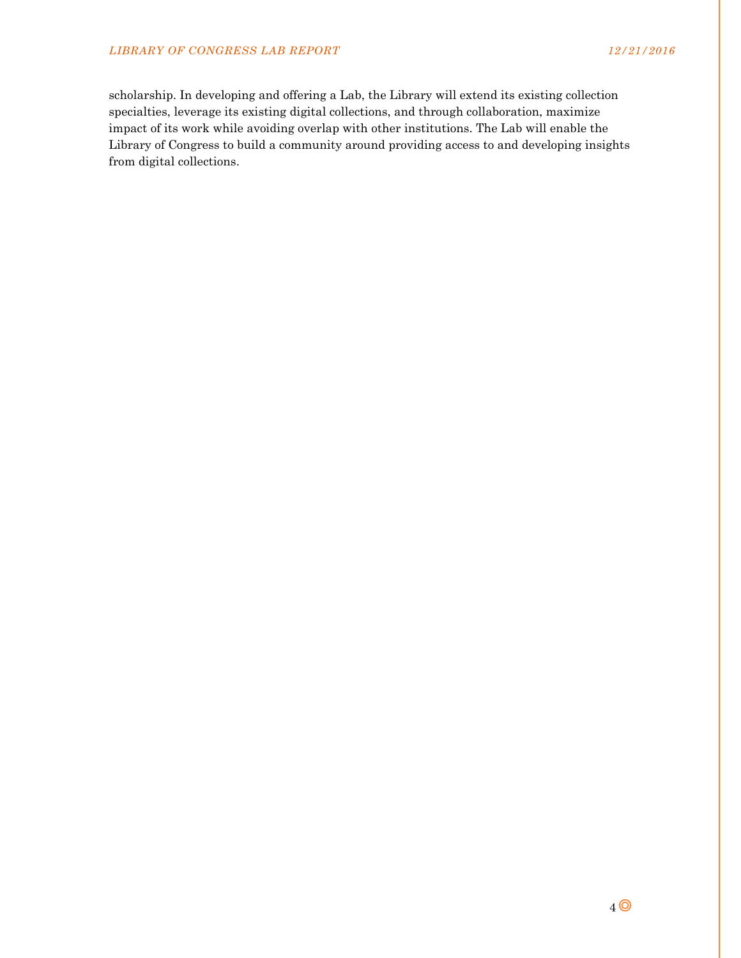scholarship. In developing and offering a Lab, the Library will extend its existing collection specialties, leverage its existing digital collections, and through collaboration, maximize impact of its work while avoiding overlap with other institutions. The Lab will enable the Library of Congress to build a community around providing access to and developing insights from digital collections.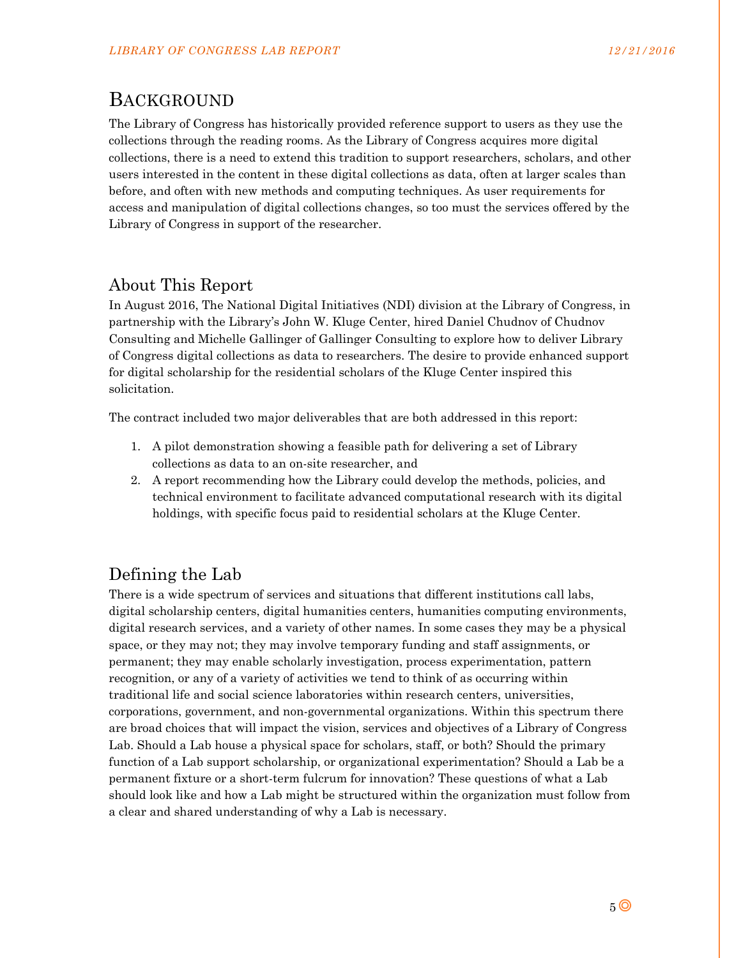# BACKGROUND

The Library of Congress has historically provided reference support to users as they use the collections through the reading rooms. As the Library of Congress acquires more digital collections, there is a need to extend this tradition to support researchers, scholars, and other users interested in the content in these digital collections as data, often at larger scales than before, and often with new methods and computing techniques. As user requirements for access and manipulation of digital collections changes, so too must the services offered by the Library of Congress in support of the researcher.

# About This Report

In August 2016, The National Digital Initiatives (NDI) division at the Library of Congress, in partnership with the Library's John W. Kluge Center, hired Daniel Chudnov of Chudnov Consulting and Michelle Gallinger of Gallinger Consulting to explore how to deliver Library of Congress digital collections as data to researchers. The desire to provide enhanced support for digital scholarship for the residential scholars of the Kluge Center inspired this solicitation.

The contract included two major deliverables that are both addressed in this report:

- 1. A pilot demonstration showing a feasible path for delivering a set of Library collections as data to an on-site researcher, and
- 2. A report recommending how the Library could develop the methods, policies, and technical environment to facilitate advanced computational research with its digital holdings, with specific focus paid to residential scholars at the Kluge Center.

# Defining the Lab

There is a wide spectrum of services and situations that different institutions call labs, digital scholarship centers, digital humanities centers, humanities computing environments, digital research services, and a variety of other names. In some cases they may be a physical space, or they may not; they may involve temporary funding and staff assignments, or permanent; they may enable scholarly investigation, process experimentation, pattern recognition, or any of a variety of activities we tend to think of as occurring within traditional life and social science laboratories within research centers, universities, corporations, government, and non-governmental organizations. Within this spectrum there are broad choices that will impact the vision, services and objectives of a Library of Congress Lab. Should a Lab house a physical space for scholars, staff, or both? Should the primary function of a Lab support scholarship, or organizational experimentation? Should a Lab be a permanent fixture or a short-term fulcrum for innovation? These questions of what a Lab should look like and how a Lab might be structured within the organization must follow from a clear and shared understanding of why a Lab is necessary.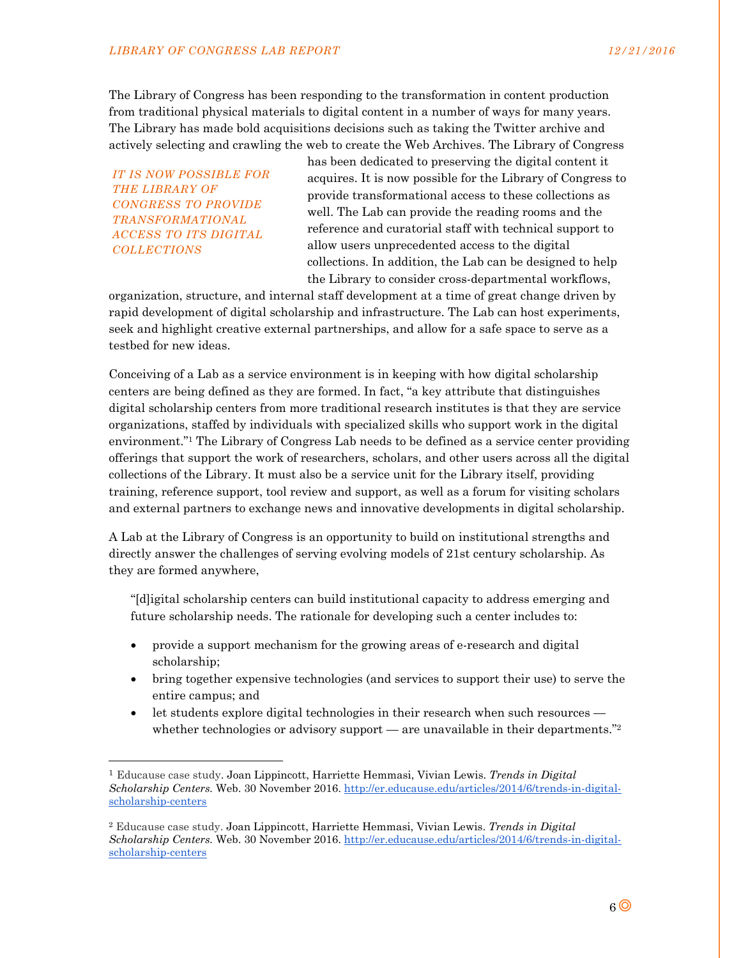The Library of Congress has been responding to the transformation in content production from traditional physical materials to digital content in a number of ways for many years. The Library has made bold acquisitions decisions such as taking the Twitter archive and actively selecting and crawling the web to create the Web Archives. The Library of Congress

*IT IS NOW POSSIBLE FOR THE LIBRARY OF CONGRESS TO PROVIDE TRANSFORMATIONAL ACCESS TO ITS DIGITAL COLLECTIONS* 

1

has been dedicated to preserving the digital content it acquires. It is now possible for the Library of Congress to provide transformational access to these collections as well. The Lab can provide the reading rooms and the reference and curatorial staff with technical support to allow users unprecedented access to the digital collections. In addition, the Lab can be designed to help the Library to consider cross-departmental workflows,

organization, structure, and internal staff development at a time of great change driven by rapid development of digital scholarship and infrastructure. The Lab can host experiments, seek and highlight creative external partnerships, and allow for a safe space to serve as a testbed for new ideas.

Conceiving of a Lab as a service environment is in keeping with how digital scholarship centers are being defined as they are formed. In fact, "a key attribute that distinguishes digital scholarship centers from more traditional research institutes is that they are service organizations, staffed by individuals with specialized skills who support work in the digital environment."1 The Library of Congress Lab needs to be defined as a service center providing offerings that support the work of researchers, scholars, and other users across all the digital collections of the Library. It must also be a service unit for the Library itself, providing training, reference support, tool review and support, as well as a forum for visiting scholars and external partners to exchange news and innovative developments in digital scholarship.

A Lab at the Library of Congress is an opportunity to build on institutional strengths and directly answer the challenges of serving evolving models of 21st century scholarship. As they are formed anywhere,

"[d]igital scholarship centers can build institutional capacity to address emerging and future scholarship needs. The rationale for developing such a center includes to:

- provide a support mechanism for the growing areas of e-research and digital scholarship;
- bring together expensive technologies (and services to support their use) to serve the entire campus; and
- let students explore digital technologies in their research when such resources whether technologies or advisory support — are unavailable in their departments."<sup>2</sup>

<sup>1</sup> Educause case study. Joan Lippincott, Harriette Hemmasi, Vivian Lewis. *Trends in Digital Scholarship Centers.* Web. 30 November 2016. http://er.educause.edu/articles/2014/6/trends-in-digitalscholarship-centers

<sup>2</sup> Educause case study. Joan Lippincott, Harriette Hemmasi, Vivian Lewis. *Trends in Digital Scholarship Centers.* Web. 30 November 2016. http://er.educause.edu/articles/2014/6/trends-in-digitalscholarship-centers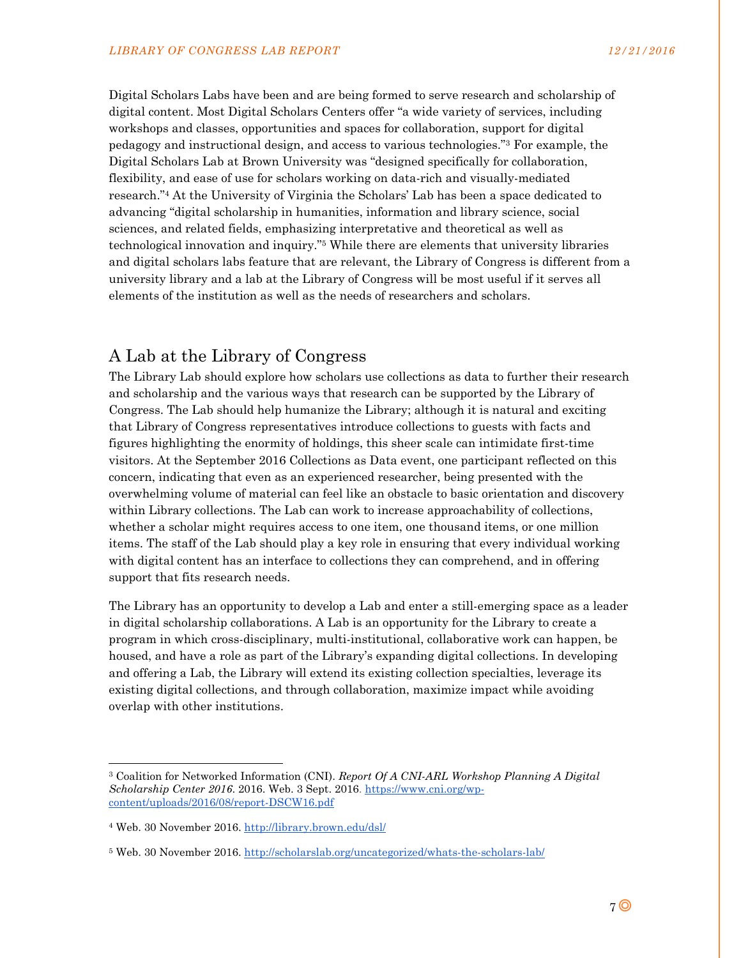Digital Scholars Labs have been and are being formed to serve research and scholarship of digital content. Most Digital Scholars Centers offer "a wide variety of services, including workshops and classes, opportunities and spaces for collaboration, support for digital pedagogy and instructional design, and access to various technologies."3 For example, the Digital Scholars Lab at Brown University was "designed specifically for collaboration, flexibility, and ease of use for scholars working on data-rich and visually-mediated research."4 At the University of Virginia the Scholars' Lab has been a space dedicated to advancing "digital scholarship in humanities, information and library science, social sciences, and related fields, emphasizing interpretative and theoretical as well as technological innovation and inquiry."5 While there are elements that university libraries and digital scholars labs feature that are relevant, the Library of Congress is different from a university library and a lab at the Library of Congress will be most useful if it serves all elements of the institution as well as the needs of researchers and scholars.

## A Lab at the Library of Congress

The Library Lab should explore how scholars use collections as data to further their research and scholarship and the various ways that research can be supported by the Library of Congress. The Lab should help humanize the Library; although it is natural and exciting that Library of Congress representatives introduce collections to guests with facts and figures highlighting the enormity of holdings, this sheer scale can intimidate first-time visitors. At the September 2016 Collections as Data event, one participant reflected on this concern, indicating that even as an experienced researcher, being presented with the overwhelming volume of material can feel like an obstacle to basic orientation and discovery within Library collections. The Lab can work to increase approachability of collections, whether a scholar might requires access to one item, one thousand items, or one million items. The staff of the Lab should play a key role in ensuring that every individual working with digital content has an interface to collections they can comprehend, and in offering support that fits research needs.

The Library has an opportunity to develop a Lab and enter a still-emerging space as a leader in digital scholarship collaborations. A Lab is an opportunity for the Library to create a program in which cross-disciplinary, multi-institutional, collaborative work can happen, be housed, and have a role as part of the Library's expanding digital collections. In developing and offering a Lab, the Library will extend its existing collection specialties, leverage its existing digital collections, and through collaboration, maximize impact while avoiding overlap with other institutions.

l

<sup>3</sup> Coalition for Networked Information (CNI). *Report Of A CNI-ARL Workshop Planning A Digital Scholarship Center 2016*. 2016. Web. 3 Sept. 2016. https://www.cni.org/wpcontent/uploads/2016/08/report-DSCW16.pdf

<sup>4</sup> Web. 30 November 2016. http://library.brown.edu/dsl/

<sup>5</sup> Web. 30 November 2016. http://scholarslab.org/uncategorized/whats-the-scholars-lab/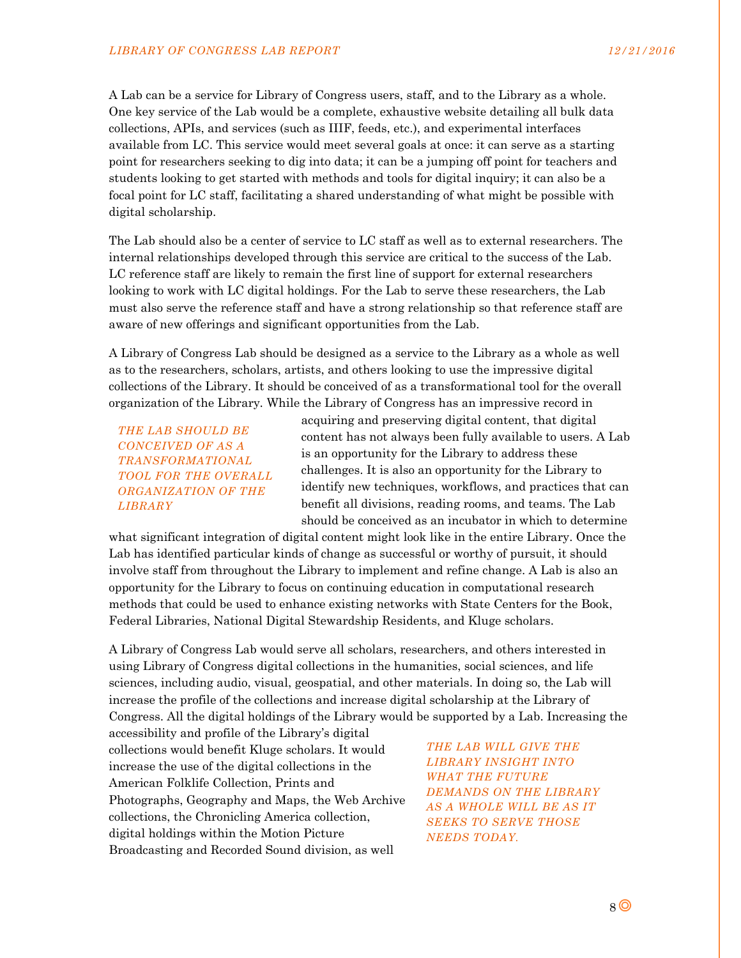A Lab can be a service for Library of Congress users, staff, and to the Library as a whole. One key service of the Lab would be a complete, exhaustive website detailing all bulk data collections, APIs, and services (such as IIIF, feeds, etc.), and experimental interfaces available from LC. This service would meet several goals at once: it can serve as a starting point for researchers seeking to dig into data; it can be a jumping off point for teachers and students looking to get started with methods and tools for digital inquiry; it can also be a focal point for LC staff, facilitating a shared understanding of what might be possible with digital scholarship.

The Lab should also be a center of service to LC staff as well as to external researchers. The internal relationships developed through this service are critical to the success of the Lab. LC reference staff are likely to remain the first line of support for external researchers looking to work with LC digital holdings. For the Lab to serve these researchers, the Lab must also serve the reference staff and have a strong relationship so that reference staff are aware of new offerings and significant opportunities from the Lab.

A Library of Congress Lab should be designed as a service to the Library as a whole as well as to the researchers, scholars, artists, and others looking to use the impressive digital collections of the Library. It should be conceived of as a transformational tool for the overall organization of the Library*.* While the Library of Congress has an impressive record in

*THE LAB SHOULD BE CONCEIVED OF AS A TRANSFORMATIONAL TOOL FOR THE OVERALL ORGANIZATION OF THE LIBRARY* 

acquiring and preserving digital content, that digital content has not always been fully available to users. A Lab is an opportunity for the Library to address these challenges. It is also an opportunity for the Library to identify new techniques, workflows, and practices that can benefit all divisions, reading rooms, and teams. The Lab should be conceived as an incubator in which to determine

what significant integration of digital content might look like in the entire Library. Once the Lab has identified particular kinds of change as successful or worthy of pursuit, it should involve staff from throughout the Library to implement and refine change. A Lab is also an opportunity for the Library to focus on continuing education in computational research methods that could be used to enhance existing networks with State Centers for the Book, Federal Libraries, National Digital Stewardship Residents, and Kluge scholars.

A Library of Congress Lab would serve all scholars, researchers, and others interested in using Library of Congress digital collections in the humanities, social sciences, and life sciences, including audio, visual, geospatial, and other materials. In doing so, the Lab will increase the profile of the collections and increase digital scholarship at the Library of Congress. All the digital holdings of the Library would be supported by a Lab. Increasing the

accessibility and profile of the Library's digital collections would benefit Kluge scholars. It would increase the use of the digital collections in the American Folklife Collection, Prints and Photographs, Geography and Maps, the Web Archive collections, the Chronicling America collection, digital holdings within the Motion Picture Broadcasting and Recorded Sound division, as well

*THE LAB WILL GIVE THE LIBRARY INSIGHT INTO WHAT THE FUTURE DEMANDS ON THE LIBRARY AS A WHOLE WILL BE AS IT SEEKS TO SERVE THOSE NEEDS TODAY.*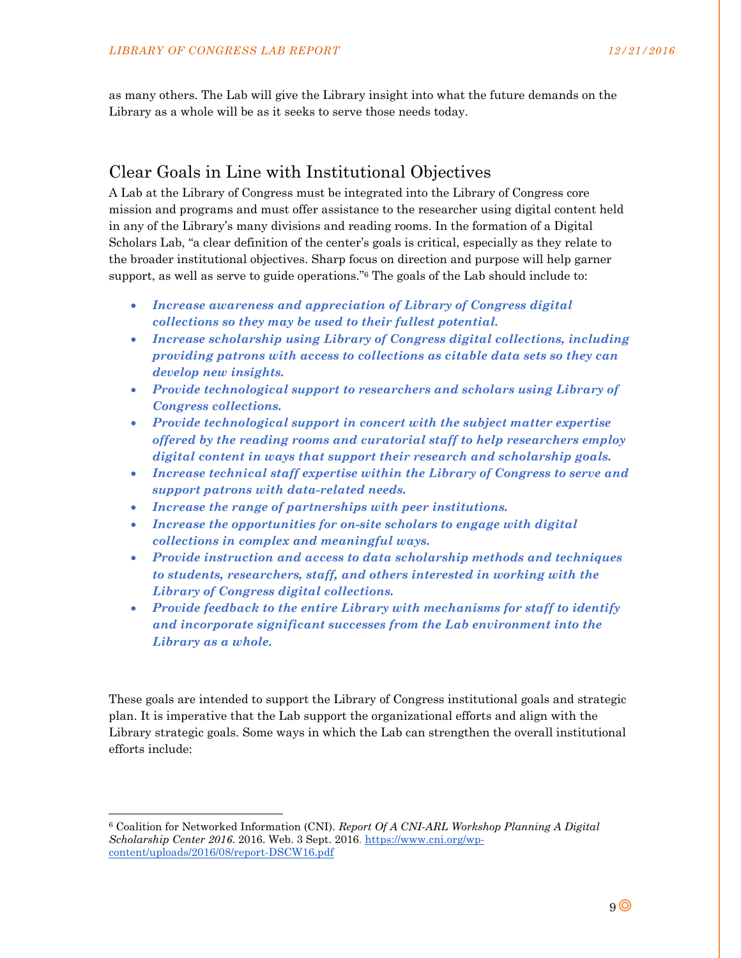as many others. The Lab will give the Library insight into what the future demands on the Library as a whole will be as it seeks to serve those needs today.

## Clear Goals in Line with Institutional Objectives

A Lab at the Library of Congress must be integrated into the Library of Congress core mission and programs and must offer assistance to the researcher using digital content held in any of the Library's many divisions and reading rooms. In the formation of a Digital Scholars Lab, "a clear definition of the center's goals is critical, especially as they relate to the broader institutional objectives. Sharp focus on direction and purpose will help garner support, as well as serve to guide operations."6 The goals of the Lab should include to:

- *Increase awareness and appreciation of Library of Congress digital collections so they may be used to their fullest potential.*
- *Increase scholarship using Library of Congress digital collections, including providing patrons with access to collections as citable data sets so they can develop new insights.*
- *Provide technological support to researchers and scholars using Library of Congress collections.*
- *Provide technological support in concert with the subject matter expertise offered by the reading rooms and curatorial staff to help researchers employ digital content in ways that support their research and scholarship goals.*
- *Increase technical staff expertise within the Library of Congress to serve and support patrons with data-related needs.*
- *Increase the range of partnerships with peer institutions.*
- *Increase the opportunities for on-site scholars to engage with digital collections in complex and meaningful ways.*
- *Provide instruction and access to data scholarship methods and techniques to students, researchers, staff, and others interested in working with the Library of Congress digital collections.*
- *Provide feedback to the entire Library with mechanisms for staff to identify and incorporate significant successes from the Lab environment into the Library as a whole.*

These goals are intended to support the Library of Congress institutional goals and strategic plan. It is imperative that the Lab support the organizational efforts and align with the Library strategic goals. Some ways in which the Lab can strengthen the overall institutional efforts include:

l

<sup>6</sup> Coalition for Networked Information (CNI). *Report Of A CNI-ARL Workshop Planning A Digital Scholarship Center 2016*. 2016. Web. 3 Sept. 2016. https://www.cni.org/wpcontent/uploads/2016/08/report-DSCW16.pdf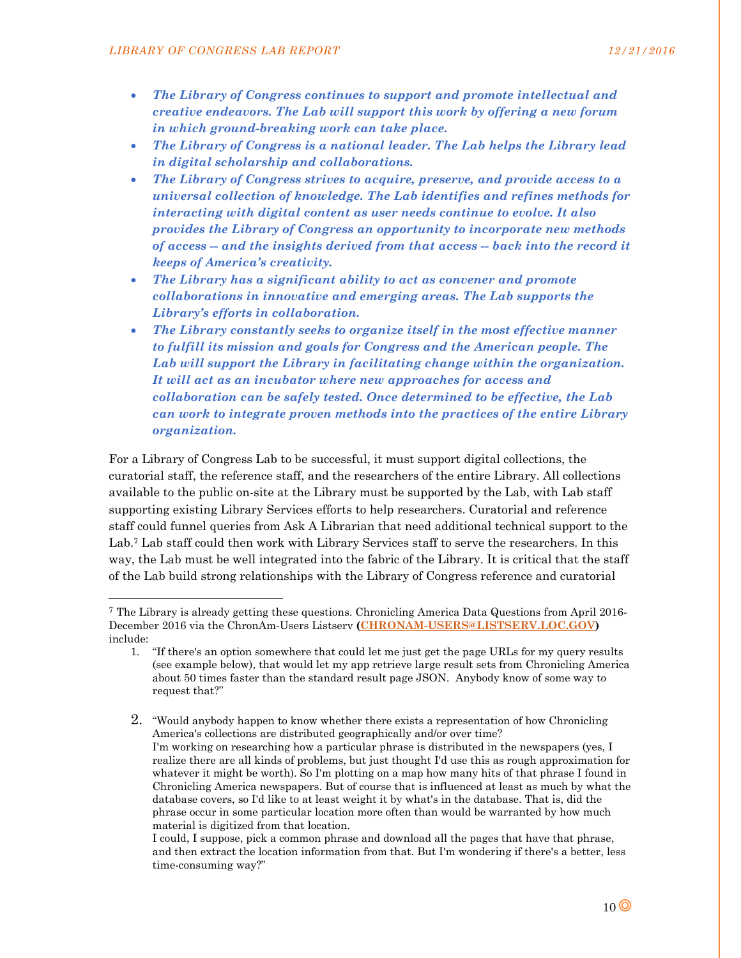-

- *The Library of Congress continues to support and promote intellectual and creative endeavors. The Lab will support this work by offering a new forum in which ground-breaking work can take place.*
- *The Library of Congress is a national leader. The Lab helps the Library lead in digital scholarship and collaborations.*
- *The Library of Congress strives to acquire, preserve, and provide access to a universal collection of knowledge. The Lab identifies and refines methods for interacting with digital content as user needs continue to evolve. It also provides the Library of Congress an opportunity to incorporate new methods of access -- and the insights derived from that access -- back into the record it keeps of America's creativity.*
- *The Library has a significant ability to act as convener and promote collaborations in innovative and emerging areas. The Lab supports the Library's efforts in collaboration.*
- *The Library constantly seeks to organize itself in the most effective manner to fulfill its mission and goals for Congress and the American people. The Lab will support the Library in facilitating change within the organization. It will act as an incubator where new approaches for access and collaboration can be safely tested. Once determined to be effective, the Lab can work to integrate proven methods into the practices of the entire Library organization.*

For a Library of Congress Lab to be successful, it must support digital collections, the curatorial staff, the reference staff, and the researchers of the entire Library. All collections available to the public on-site at the Library must be supported by the Lab, with Lab staff supporting existing Library Services efforts to help researchers. Curatorial and reference staff could funnel queries from Ask A Librarian that need additional technical support to the Lab.<sup>7</sup> Lab staff could then work with Library Services staff to serve the researchers. In this way, the Lab must be well integrated into the fabric of the Library. It is critical that the staff of the Lab build strong relationships with the Library of Congress reference and curatorial

2. "Would anybody happen to know whether there exists a representation of how Chronicling America's collections are distributed geographically and/or over time? I'm working on researching how a particular phrase is distributed in the newspapers (yes, I realize there are all kinds of problems, but just thought I'd use this as rough approximation for whatever it might be worth). So I'm plotting on a map how many hits of that phrase I found in Chronicling America newspapers. But of course that is influenced at least as much by what the database covers, so I'd like to at least weight it by what's in the database. That is, did the phrase occur in some particular location more often than would be warranted by how much material is digitized from that location.

I could, I suppose, pick a common phrase and download all the pages that have that phrase, and then extract the location information from that. But I'm wondering if there's a better, less time-consuming way?"

<sup>7</sup> The Library is already getting these questions. Chronicling America Data Questions from April 2016- December 2016 via the ChronAm-Users Listserv **(CHRONAM-USERS@LISTSERV.LOC.GOV)**  include:

<sup>1.</sup> "If there's an option somewhere that could let me just get the page URLs for my query results (see example below), that would let my app retrieve large result sets from Chronicling America about 50 times faster than the standard result page JSON. Anybody know of some way to request that?"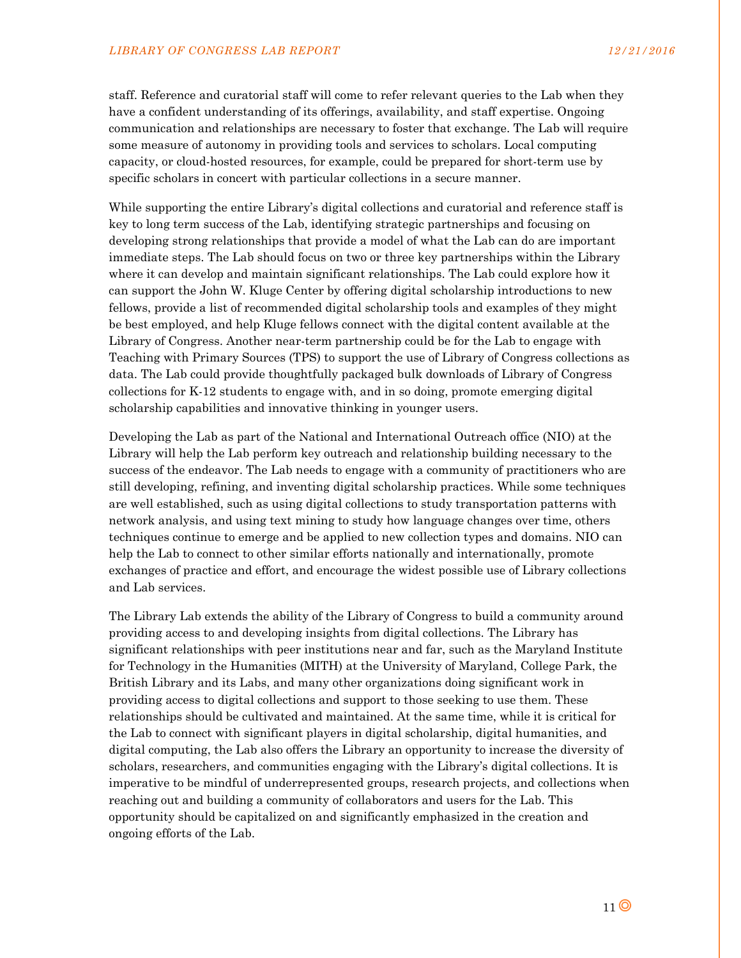staff. Reference and curatorial staff will come to refer relevant queries to the Lab when they have a confident understanding of its offerings, availability, and staff expertise. Ongoing communication and relationships are necessary to foster that exchange. The Lab will require some measure of autonomy in providing tools and services to scholars. Local computing capacity, or cloud-hosted resources, for example, could be prepared for short-term use by specific scholars in concert with particular collections in a secure manner.

While supporting the entire Library's digital collections and curatorial and reference staff is key to long term success of the Lab, identifying strategic partnerships and focusing on developing strong relationships that provide a model of what the Lab can do are important immediate steps. The Lab should focus on two or three key partnerships within the Library where it can develop and maintain significant relationships. The Lab could explore how it can support the John W. Kluge Center by offering digital scholarship introductions to new fellows, provide a list of recommended digital scholarship tools and examples of they might be best employed, and help Kluge fellows connect with the digital content available at the Library of Congress. Another near-term partnership could be for the Lab to engage with Teaching with Primary Sources (TPS) to support the use of Library of Congress collections as data. The Lab could provide thoughtfully packaged bulk downloads of Library of Congress collections for K-12 students to engage with, and in so doing, promote emerging digital scholarship capabilities and innovative thinking in younger users.

Developing the Lab as part of the National and International Outreach office (NIO) at the Library will help the Lab perform key outreach and relationship building necessary to the success of the endeavor. The Lab needs to engage with a community of practitioners who are still developing, refining, and inventing digital scholarship practices. While some techniques are well established, such as using digital collections to study transportation patterns with network analysis, and using text mining to study how language changes over time, others techniques continue to emerge and be applied to new collection types and domains. NIO can help the Lab to connect to other similar efforts nationally and internationally, promote exchanges of practice and effort, and encourage the widest possible use of Library collections and Lab services.

The Library Lab extends the ability of the Library of Congress to build a community around providing access to and developing insights from digital collections. The Library has significant relationships with peer institutions near and far, such as the Maryland Institute for Technology in the Humanities (MITH) at the University of Maryland, College Park, the British Library and its Labs, and many other organizations doing significant work in providing access to digital collections and support to those seeking to use them. These relationships should be cultivated and maintained. At the same time, while it is critical for the Lab to connect with significant players in digital scholarship, digital humanities, and digital computing, the Lab also offers the Library an opportunity to increase the diversity of scholars, researchers, and communities engaging with the Library's digital collections. It is imperative to be mindful of underrepresented groups, research projects, and collections when reaching out and building a community of collaborators and users for the Lab. This opportunity should be capitalized on and significantly emphasized in the creation and ongoing efforts of the Lab.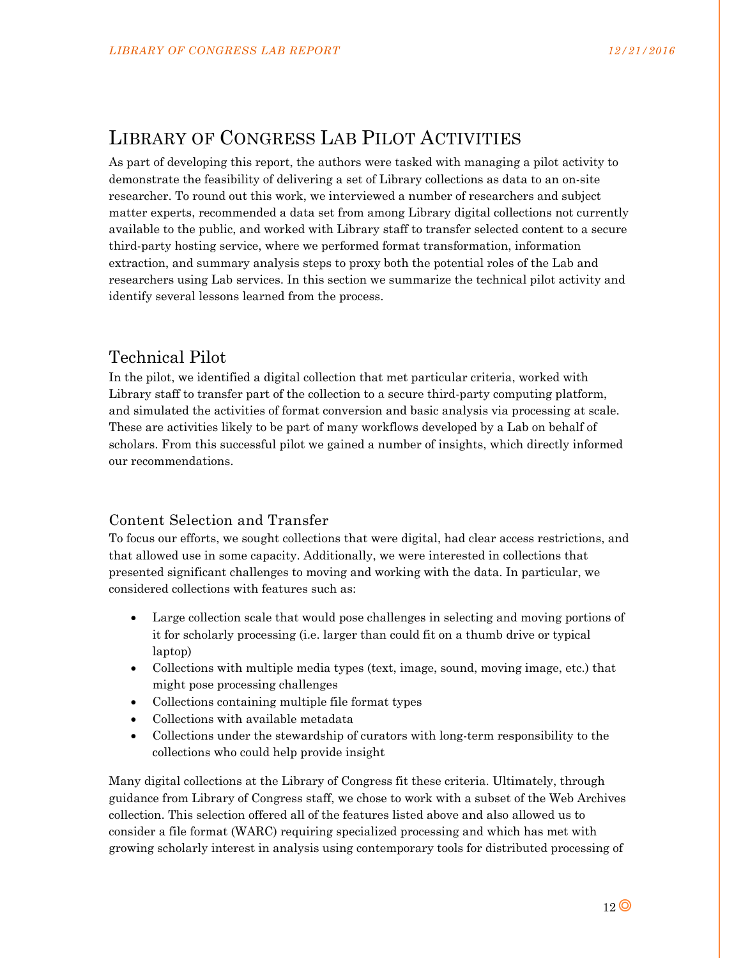# LIBRARY OF CONGRESS LAB PILOT ACTIVITIES

As part of developing this report, the authors were tasked with managing a pilot activity to demonstrate the feasibility of delivering a set of Library collections as data to an on-site researcher. To round out this work, we interviewed a number of researchers and subject matter experts, recommended a data set from among Library digital collections not currently available to the public, and worked with Library staff to transfer selected content to a secure third-party hosting service, where we performed format transformation, information extraction, and summary analysis steps to proxy both the potential roles of the Lab and researchers using Lab services. In this section we summarize the technical pilot activity and identify several lessons learned from the process.

# Technical Pilot

In the pilot, we identified a digital collection that met particular criteria, worked with Library staff to transfer part of the collection to a secure third-party computing platform, and simulated the activities of format conversion and basic analysis via processing at scale. These are activities likely to be part of many workflows developed by a Lab on behalf of scholars. From this successful pilot we gained a number of insights, which directly informed our recommendations.

## Content Selection and Transfer

To focus our efforts, we sought collections that were digital, had clear access restrictions, and that allowed use in some capacity. Additionally, we were interested in collections that presented significant challenges to moving and working with the data. In particular, we considered collections with features such as:

- Large collection scale that would pose challenges in selecting and moving portions of it for scholarly processing (i.e. larger than could fit on a thumb drive or typical laptop)
- Collections with multiple media types (text, image, sound, moving image, etc.) that might pose processing challenges
- Collections containing multiple file format types
- Collections with available metadata
- Collections under the stewardship of curators with long-term responsibility to the collections who could help provide insight

Many digital collections at the Library of Congress fit these criteria. Ultimately, through guidance from Library of Congress staff, we chose to work with a subset of the Web Archives collection. This selection offered all of the features listed above and also allowed us to consider a file format (WARC) requiring specialized processing and which has met with growing scholarly interest in analysis using contemporary tools for distributed processing of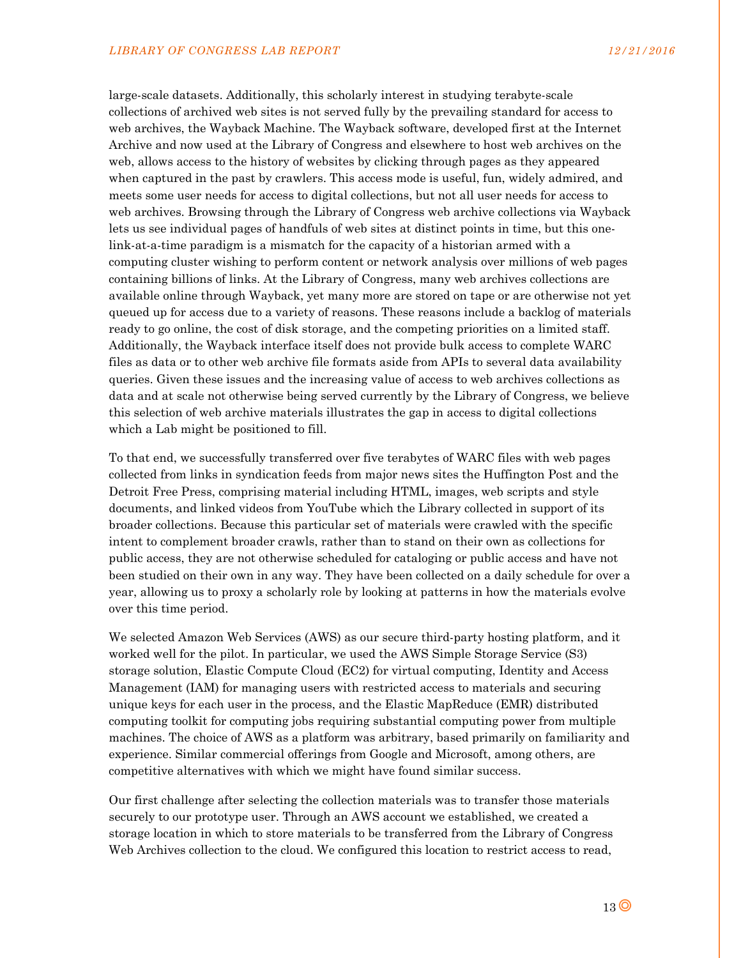large-scale datasets. Additionally, this scholarly interest in studying terabyte-scale collections of archived web sites is not served fully by the prevailing standard for access to web archives, the Wayback Machine. The Wayback software, developed first at the Internet Archive and now used at the Library of Congress and elsewhere to host web archives on the web, allows access to the history of websites by clicking through pages as they appeared when captured in the past by crawlers. This access mode is useful, fun, widely admired, and meets some user needs for access to digital collections, but not all user needs for access to web archives. Browsing through the Library of Congress web archive collections via Wayback lets us see individual pages of handfuls of web sites at distinct points in time, but this onelink-at-a-time paradigm is a mismatch for the capacity of a historian armed with a computing cluster wishing to perform content or network analysis over millions of web pages containing billions of links. At the Library of Congress, many web archives collections are available online through Wayback, yet many more are stored on tape or are otherwise not yet queued up for access due to a variety of reasons. These reasons include a backlog of materials ready to go online, the cost of disk storage, and the competing priorities on a limited staff. Additionally, the Wayback interface itself does not provide bulk access to complete WARC files as data or to other web archive file formats aside from APIs to several data availability queries. Given these issues and the increasing value of access to web archives collections as data and at scale not otherwise being served currently by the Library of Congress, we believe this selection of web archive materials illustrates the gap in access to digital collections which a Lab might be positioned to fill.

To that end, we successfully transferred over five terabytes of WARC files with web pages collected from links in syndication feeds from major news sites the Huffington Post and the Detroit Free Press, comprising material including HTML, images, web scripts and style documents, and linked videos from YouTube which the Library collected in support of its broader collections. Because this particular set of materials were crawled with the specific intent to complement broader crawls, rather than to stand on their own as collections for public access, they are not otherwise scheduled for cataloging or public access and have not been studied on their own in any way. They have been collected on a daily schedule for over a year, allowing us to proxy a scholarly role by looking at patterns in how the materials evolve over this time period.

We selected Amazon Web Services (AWS) as our secure third-party hosting platform, and it worked well for the pilot. In particular, we used the AWS Simple Storage Service (S3) storage solution, Elastic Compute Cloud (EC2) for virtual computing, Identity and Access Management (IAM) for managing users with restricted access to materials and securing unique keys for each user in the process, and the Elastic MapReduce (EMR) distributed computing toolkit for computing jobs requiring substantial computing power from multiple machines. The choice of AWS as a platform was arbitrary, based primarily on familiarity and experience. Similar commercial offerings from Google and Microsoft, among others, are competitive alternatives with which we might have found similar success.

Our first challenge after selecting the collection materials was to transfer those materials securely to our prototype user. Through an AWS account we established, we created a storage location in which to store materials to be transferred from the Library of Congress Web Archives collection to the cloud. We configured this location to restrict access to read,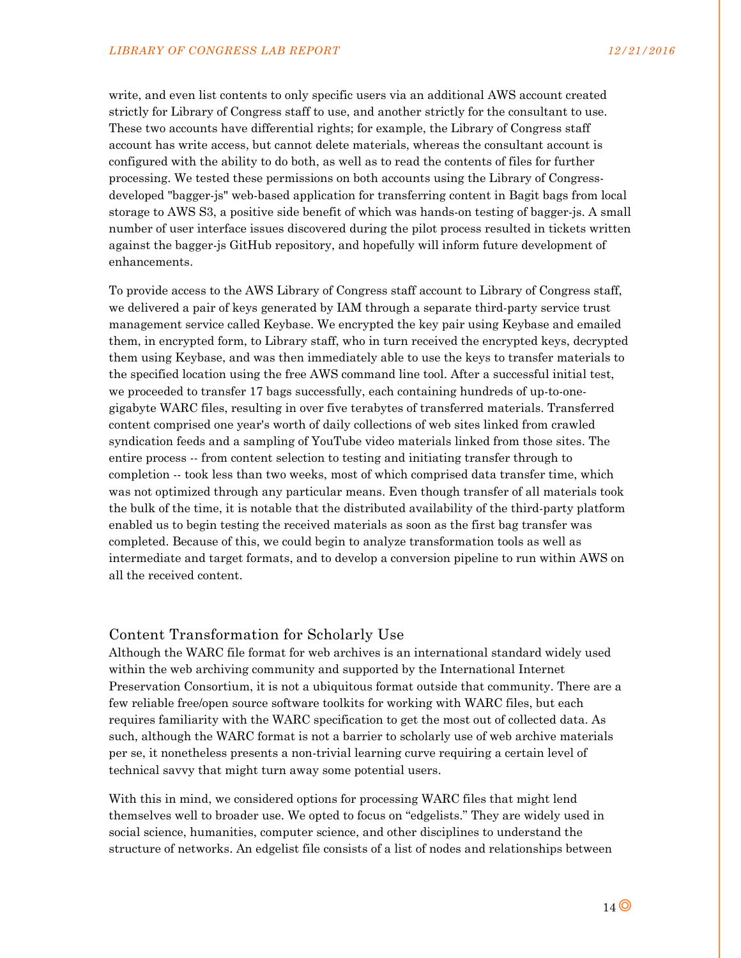write, and even list contents to only specific users via an additional AWS account created strictly for Library of Congress staff to use, and another strictly for the consultant to use. These two accounts have differential rights; for example, the Library of Congress staff account has write access, but cannot delete materials, whereas the consultant account is configured with the ability to do both, as well as to read the contents of files for further processing. We tested these permissions on both accounts using the Library of Congressdeveloped "bagger-js" web-based application for transferring content in Bagit bags from local storage to AWS S3, a positive side benefit of which was hands-on testing of bagger-js. A small number of user interface issues discovered during the pilot process resulted in tickets written against the bagger-js GitHub repository, and hopefully will inform future development of enhancements.

To provide access to the AWS Library of Congress staff account to Library of Congress staff, we delivered a pair of keys generated by IAM through a separate third-party service trust management service called Keybase. We encrypted the key pair using Keybase and emailed them, in encrypted form, to Library staff, who in turn received the encrypted keys, decrypted them using Keybase, and was then immediately able to use the keys to transfer materials to the specified location using the free AWS command line tool. After a successful initial test, we proceeded to transfer 17 bags successfully, each containing hundreds of up-to-onegigabyte WARC files, resulting in over five terabytes of transferred materials. Transferred content comprised one year's worth of daily collections of web sites linked from crawled syndication feeds and a sampling of YouTube video materials linked from those sites. The entire process -- from content selection to testing and initiating transfer through to completion -- took less than two weeks, most of which comprised data transfer time, which was not optimized through any particular means. Even though transfer of all materials took the bulk of the time, it is notable that the distributed availability of the third-party platform enabled us to begin testing the received materials as soon as the first bag transfer was completed. Because of this, we could begin to analyze transformation tools as well as intermediate and target formats, and to develop a conversion pipeline to run within AWS on all the received content.

#### Content Transformation for Scholarly Use

Although the WARC file format for web archives is an international standard widely used within the web archiving community and supported by the International Internet Preservation Consortium, it is not a ubiquitous format outside that community. There are a few reliable free/open source software toolkits for working with WARC files, but each requires familiarity with the WARC specification to get the most out of collected data. As such, although the WARC format is not a barrier to scholarly use of web archive materials per se, it nonetheless presents a non-trivial learning curve requiring a certain level of technical savvy that might turn away some potential users.

With this in mind, we considered options for processing WARC files that might lend themselves well to broader use. We opted to focus on "edgelists." They are widely used in social science, humanities, computer science, and other disciplines to understand the structure of networks. An edgelist file consists of a list of nodes and relationships between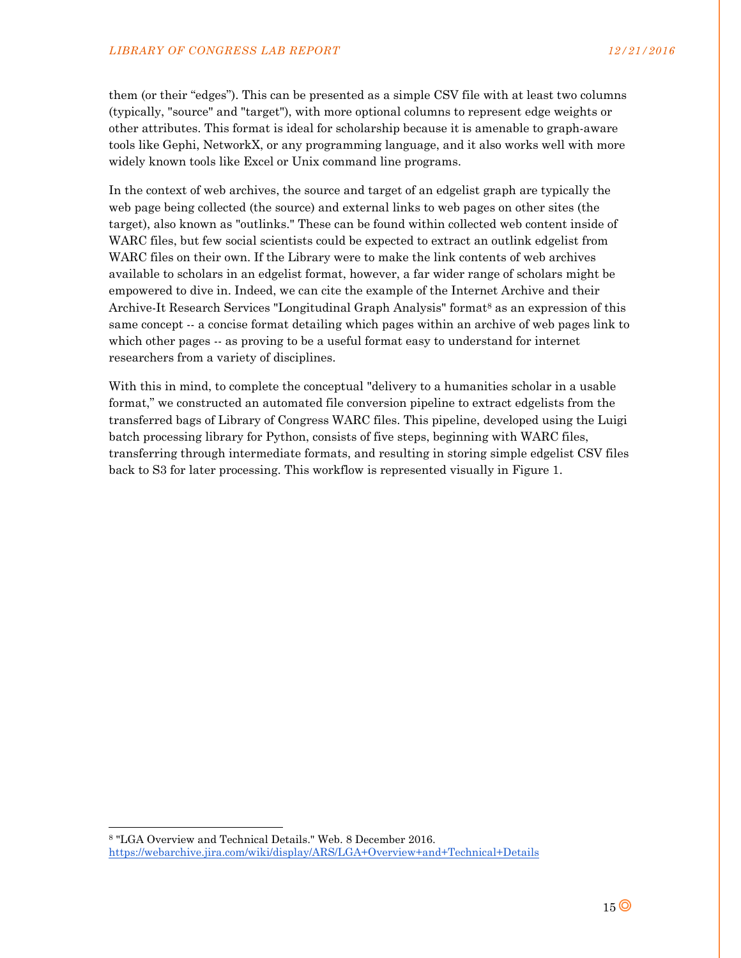them (or their "edges"). This can be presented as a simple CSV file with at least two columns (typically, "source" and "target"), with more optional columns to represent edge weights or other attributes. This format is ideal for scholarship because it is amenable to graph-aware tools like Gephi, NetworkX, or any programming language, and it also works well with more widely known tools like Excel or Unix command line programs.

In the context of web archives, the source and target of an edgelist graph are typically the web page being collected (the source) and external links to web pages on other sites (the target), also known as "outlinks." These can be found within collected web content inside of WARC files, but few social scientists could be expected to extract an outlink edgelist from WARC files on their own. If the Library were to make the link contents of web archives available to scholars in an edgelist format, however, a far wider range of scholars might be empowered to dive in. Indeed, we can cite the example of the Internet Archive and their Archive-It Research Services "Longitudinal Graph Analysis" format<sup>8</sup> as an expression of this same concept -- a concise format detailing which pages within an archive of web pages link to which other pages -- as proving to be a useful format easy to understand for internet researchers from a variety of disciplines.

With this in mind, to complete the conceptual "delivery to a humanities scholar in a usable format," we constructed an automated file conversion pipeline to extract edgelists from the transferred bags of Library of Congress WARC files. This pipeline, developed using the Luigi batch processing library for Python, consists of five steps, beginning with WARC files, transferring through intermediate formats, and resulting in storing simple edgelist CSV files back to S3 for later processing. This workflow is represented visually in Figure 1.

 $\overline{a}$ 

<sup>8 &</sup>quot;LGA Overview and Technical Details." Web. 8 December 2016.

https://webarchive.jira.com/wiki/display/ARS/LGA+Overview+and+Technical+Details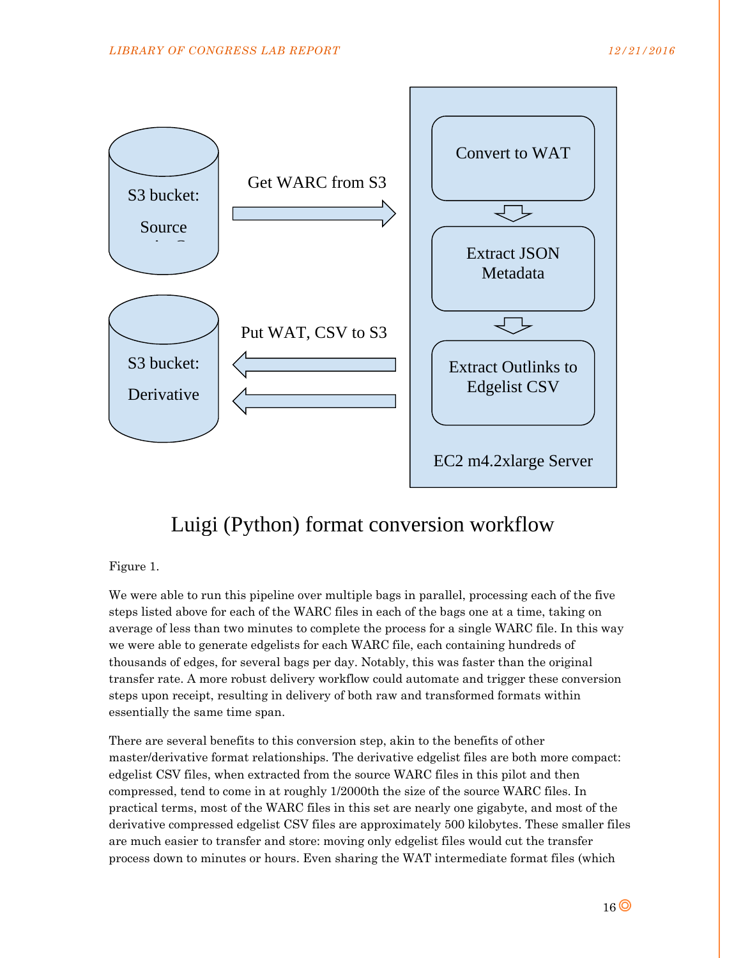

# Luigi (Python) format conversion workflow

## Figure 1.

We were able to run this pipeline over multiple bags in parallel, processing each of the five steps listed above for each of the WARC files in each of the bags one at a time, taking on average of less than two minutes to complete the process for a single WARC file. In this way we were able to generate edgelists for each WARC file, each containing hundreds of thousands of edges, for several bags per day. Notably, this was faster than the original transfer rate. A more robust delivery workflow could automate and trigger these conversion steps upon receipt, resulting in delivery of both raw and transformed formats within essentially the same time span.

There are several benefits to this conversion step, akin to the benefits of other master/derivative format relationships. The derivative edgelist files are both more compact: edgelist CSV files, when extracted from the source WARC files in this pilot and then compressed, tend to come in at roughly 1/2000th the size of the source WARC files. In practical terms, most of the WARC files in this set are nearly one gigabyte, and most of the derivative compressed edgelist CSV files are approximately 500 kilobytes. These smaller files are much easier to transfer and store: moving only edgelist files would cut the transfer process down to minutes or hours. Even sharing the WAT intermediate format files (which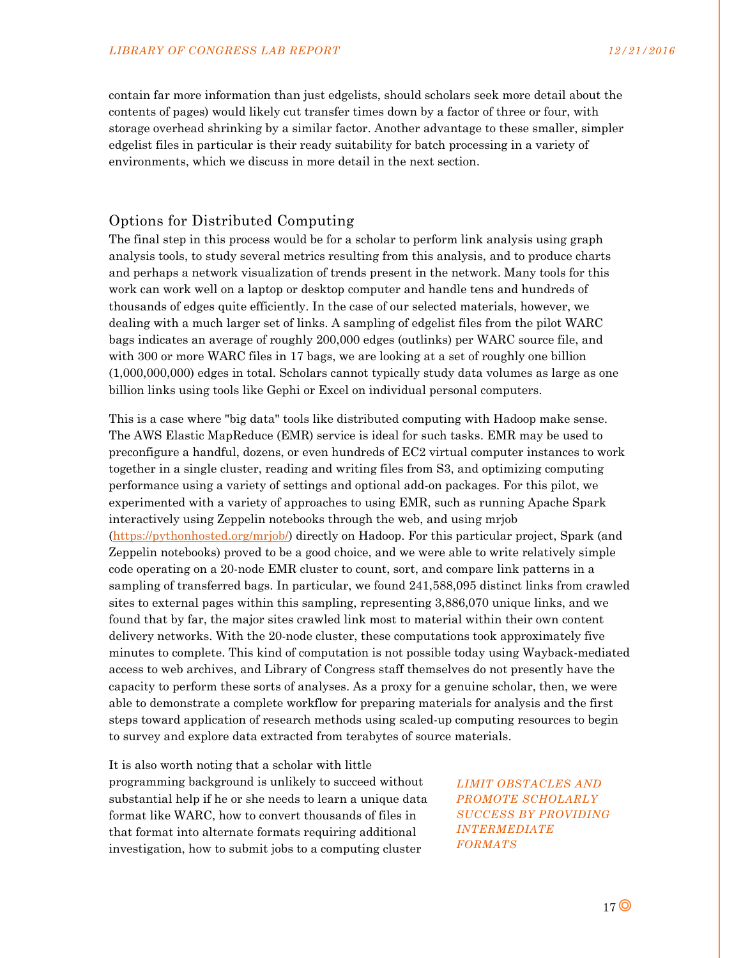contain far more information than just edgelists, should scholars seek more detail about the contents of pages) would likely cut transfer times down by a factor of three or four, with storage overhead shrinking by a similar factor. Another advantage to these smaller, simpler edgelist files in particular is their ready suitability for batch processing in a variety of environments, which we discuss in more detail in the next section.

## Options for Distributed Computing

The final step in this process would be for a scholar to perform link analysis using graph analysis tools, to study several metrics resulting from this analysis, and to produce charts and perhaps a network visualization of trends present in the network. Many tools for this work can work well on a laptop or desktop computer and handle tens and hundreds of thousands of edges quite efficiently. In the case of our selected materials, however, we dealing with a much larger set of links. A sampling of edgelist files from the pilot WARC bags indicates an average of roughly 200,000 edges (outlinks) per WARC source file, and with 300 or more WARC files in 17 bags, we are looking at a set of roughly one billion (1,000,000,000) edges in total. Scholars cannot typically study data volumes as large as one billion links using tools like Gephi or Excel on individual personal computers.

This is a case where "big data" tools like distributed computing with Hadoop make sense. The AWS Elastic MapReduce (EMR) service is ideal for such tasks. EMR may be used to preconfigure a handful, dozens, or even hundreds of EC2 virtual computer instances to work together in a single cluster, reading and writing files from S3, and optimizing computing performance using a variety of settings and optional add-on packages. For this pilot, we experimented with a variety of approaches to using EMR, such as running Apache Spark interactively using Zeppelin notebooks through the web, and using mrjob (https://pythonhosted.org/mrjob/) directly on Hadoop. For this particular project, Spark (and Zeppelin notebooks) proved to be a good choice, and we were able to write relatively simple code operating on a 20-node EMR cluster to count, sort, and compare link patterns in a sampling of transferred bags. In particular, we found 241,588,095 distinct links from crawled sites to external pages within this sampling, representing 3,886,070 unique links, and we found that by far, the major sites crawled link most to material within their own content delivery networks. With the 20-node cluster, these computations took approximately five minutes to complete. This kind of computation is not possible today using Wayback-mediated access to web archives, and Library of Congress staff themselves do not presently have the capacity to perform these sorts of analyses. As a proxy for a genuine scholar, then, we were able to demonstrate a complete workflow for preparing materials for analysis and the first steps toward application of research methods using scaled-up computing resources to begin to survey and explore data extracted from terabytes of source materials.

It is also worth noting that a scholar with little programming background is unlikely to succeed without substantial help if he or she needs to learn a unique data format like WARC, how to convert thousands of files in that format into alternate formats requiring additional investigation, how to submit jobs to a computing cluster

*LIMIT OBSTACLES AND PROMOTE SCHOLARLY SUCCESS BY PROVIDING INTERMEDIATE FORMATS*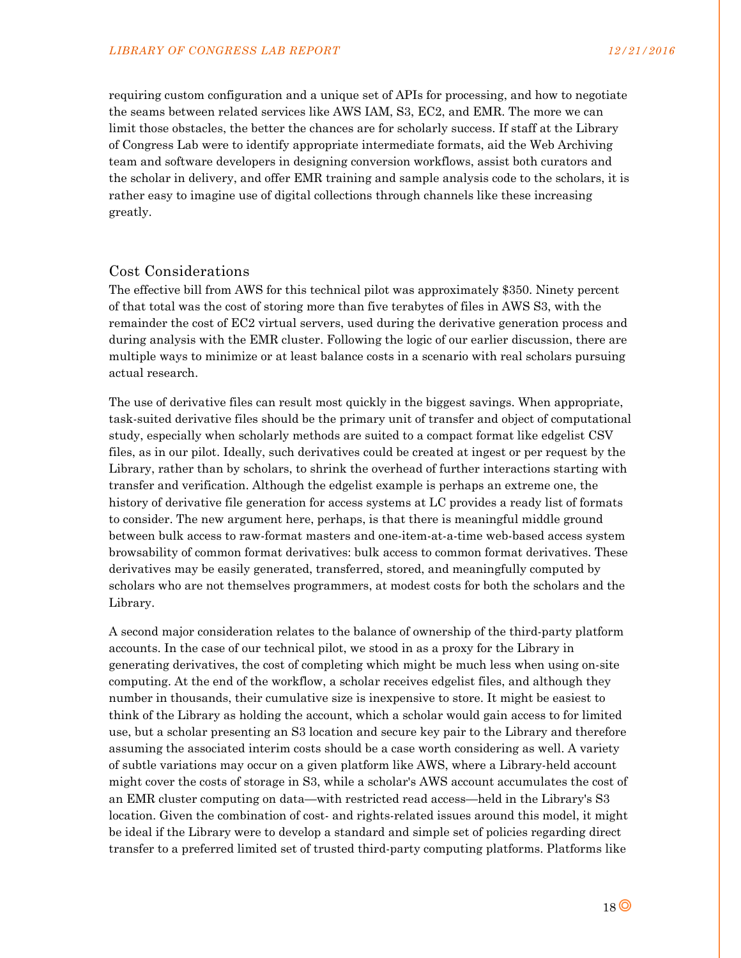requiring custom configuration and a unique set of APIs for processing, and how to negotiate the seams between related services like AWS IAM, S3, EC2, and EMR. The more we can limit those obstacles, the better the chances are for scholarly success. If staff at the Library of Congress Lab were to identify appropriate intermediate formats, aid the Web Archiving team and software developers in designing conversion workflows, assist both curators and the scholar in delivery, and offer EMR training and sample analysis code to the scholars, it is rather easy to imagine use of digital collections through channels like these increasing greatly.

#### Cost Considerations

The effective bill from AWS for this technical pilot was approximately \$350. Ninety percent of that total was the cost of storing more than five terabytes of files in AWS S3, with the remainder the cost of EC2 virtual servers, used during the derivative generation process and during analysis with the EMR cluster. Following the logic of our earlier discussion, there are multiple ways to minimize or at least balance costs in a scenario with real scholars pursuing actual research.

The use of derivative files can result most quickly in the biggest savings. When appropriate, task-suited derivative files should be the primary unit of transfer and object of computational study, especially when scholarly methods are suited to a compact format like edgelist CSV files, as in our pilot. Ideally, such derivatives could be created at ingest or per request by the Library, rather than by scholars, to shrink the overhead of further interactions starting with transfer and verification. Although the edgelist example is perhaps an extreme one, the history of derivative file generation for access systems at LC provides a ready list of formats to consider. The new argument here, perhaps, is that there is meaningful middle ground between bulk access to raw-format masters and one-item-at-a-time web-based access system browsability of common format derivatives: bulk access to common format derivatives. These derivatives may be easily generated, transferred, stored, and meaningfully computed by scholars who are not themselves programmers, at modest costs for both the scholars and the Library.

A second major consideration relates to the balance of ownership of the third-party platform accounts. In the case of our technical pilot, we stood in as a proxy for the Library in generating derivatives, the cost of completing which might be much less when using on-site computing. At the end of the workflow, a scholar receives edgelist files, and although they number in thousands, their cumulative size is inexpensive to store. It might be easiest to think of the Library as holding the account, which a scholar would gain access to for limited use, but a scholar presenting an S3 location and secure key pair to the Library and therefore assuming the associated interim costs should be a case worth considering as well. A variety of subtle variations may occur on a given platform like AWS, where a Library-held account might cover the costs of storage in S3, while a scholar's AWS account accumulates the cost of an EMR cluster computing on data—with restricted read access—held in the Library's S3 location. Given the combination of cost- and rights-related issues around this model, it might be ideal if the Library were to develop a standard and simple set of policies regarding direct transfer to a preferred limited set of trusted third-party computing platforms. Platforms like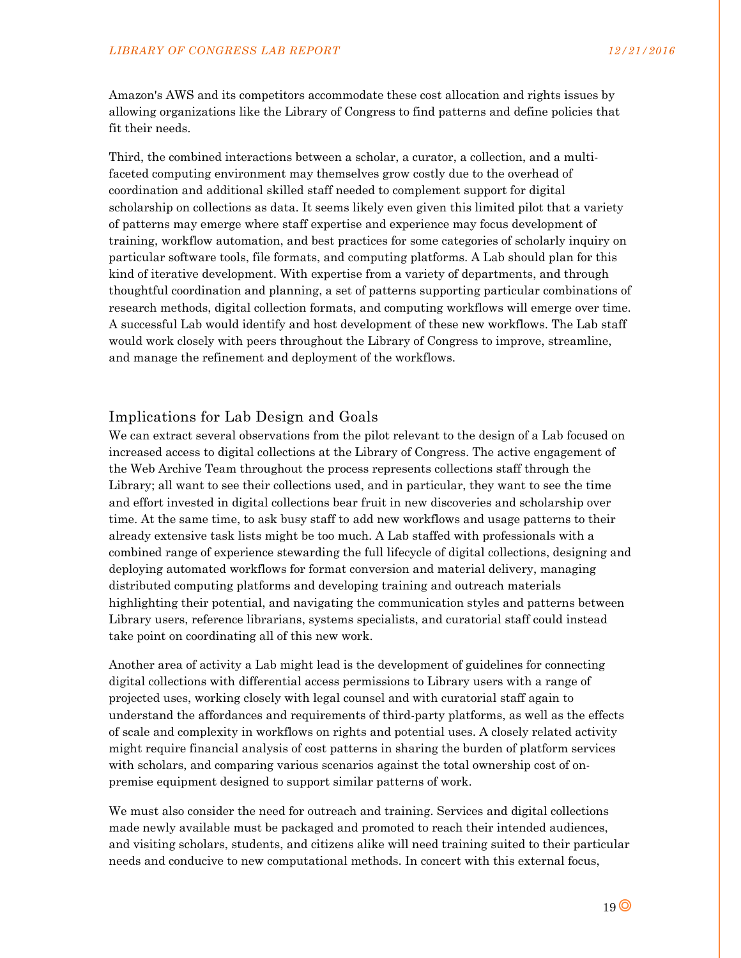Amazon's AWS and its competitors accommodate these cost allocation and rights issues by allowing organizations like the Library of Congress to find patterns and define policies that fit their needs.

Third, the combined interactions between a scholar, a curator, a collection, and a multifaceted computing environment may themselves grow costly due to the overhead of coordination and additional skilled staff needed to complement support for digital scholarship on collections as data. It seems likely even given this limited pilot that a variety of patterns may emerge where staff expertise and experience may focus development of training, workflow automation, and best practices for some categories of scholarly inquiry on particular software tools, file formats, and computing platforms. A Lab should plan for this kind of iterative development. With expertise from a variety of departments, and through thoughtful coordination and planning, a set of patterns supporting particular combinations of research methods, digital collection formats, and computing workflows will emerge over time. A successful Lab would identify and host development of these new workflows. The Lab staff would work closely with peers throughout the Library of Congress to improve, streamline, and manage the refinement and deployment of the workflows.

## Implications for Lab Design and Goals

We can extract several observations from the pilot relevant to the design of a Lab focused on increased access to digital collections at the Library of Congress. The active engagement of the Web Archive Team throughout the process represents collections staff through the Library; all want to see their collections used, and in particular, they want to see the time and effort invested in digital collections bear fruit in new discoveries and scholarship over time. At the same time, to ask busy staff to add new workflows and usage patterns to their already extensive task lists might be too much. A Lab staffed with professionals with a combined range of experience stewarding the full lifecycle of digital collections, designing and deploying automated workflows for format conversion and material delivery, managing distributed computing platforms and developing training and outreach materials highlighting their potential, and navigating the communication styles and patterns between Library users, reference librarians, systems specialists, and curatorial staff could instead take point on coordinating all of this new work.

Another area of activity a Lab might lead is the development of guidelines for connecting digital collections with differential access permissions to Library users with a range of projected uses, working closely with legal counsel and with curatorial staff again to understand the affordances and requirements of third-party platforms, as well as the effects of scale and complexity in workflows on rights and potential uses. A closely related activity might require financial analysis of cost patterns in sharing the burden of platform services with scholars, and comparing various scenarios against the total ownership cost of onpremise equipment designed to support similar patterns of work.

We must also consider the need for outreach and training. Services and digital collections made newly available must be packaged and promoted to reach their intended audiences, and visiting scholars, students, and citizens alike will need training suited to their particular needs and conducive to new computational methods. In concert with this external focus,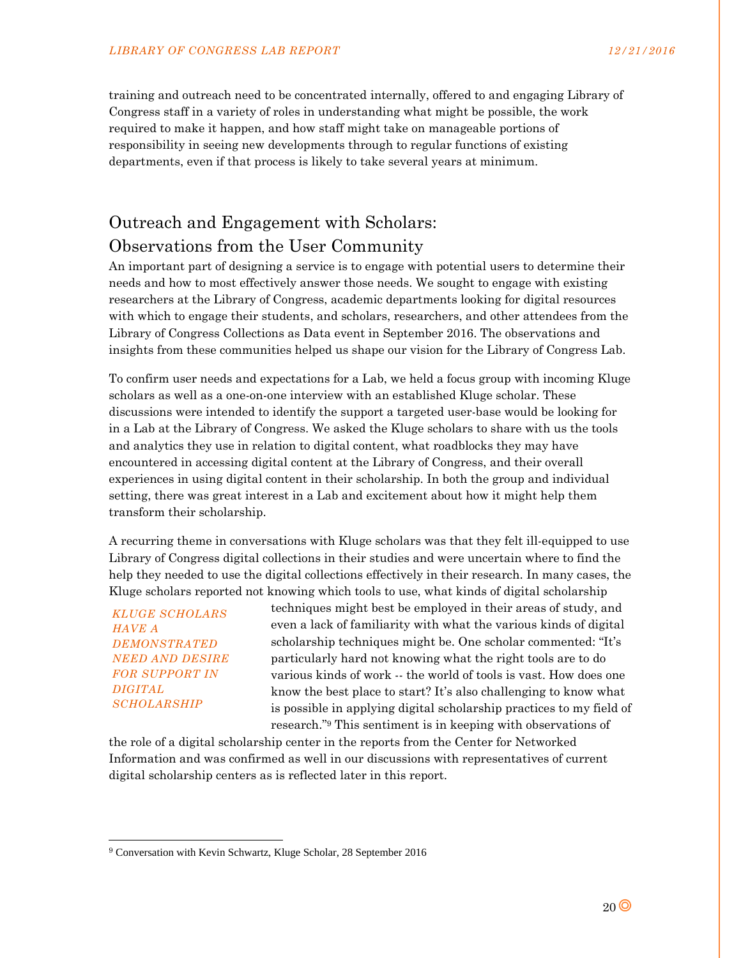training and outreach need to be concentrated internally, offered to and engaging Library of Congress staff in a variety of roles in understanding what might be possible, the work required to make it happen, and how staff might take on manageable portions of responsibility in seeing new developments through to regular functions of existing departments, even if that process is likely to take several years at minimum.

# Outreach and Engagement with Scholars: Observations from the User Community

An important part of designing a service is to engage with potential users to determine their needs and how to most effectively answer those needs. We sought to engage with existing researchers at the Library of Congress, academic departments looking for digital resources with which to engage their students, and scholars, researchers, and other attendees from the Library of Congress Collections as Data event in September 2016. The observations and insights from these communities helped us shape our vision for the Library of Congress Lab.

To confirm user needs and expectations for a Lab, we held a focus group with incoming Kluge scholars as well as a one-on-one interview with an established Kluge scholar. These discussions were intended to identify the support a targeted user-base would be looking for in a Lab at the Library of Congress. We asked the Kluge scholars to share with us the tools and analytics they use in relation to digital content, what roadblocks they may have encountered in accessing digital content at the Library of Congress, and their overall experiences in using digital content in their scholarship. In both the group and individual setting, there was great interest in a Lab and excitement about how it might help them transform their scholarship.

A recurring theme in conversations with Kluge scholars was that they felt ill-equipped to use Library of Congress digital collections in their studies and were uncertain where to find the help they needed to use the digital collections effectively in their research. In many cases, the Kluge scholars reported not knowing which tools to use, what kinds of digital scholarship

*KLUGE SCHOLARS HAVE A DEMONSTRATED NEED AND DESIRE FOR SUPPORT IN DIGITAL SCHOLARSHIP* 

l

techniques might best be employed in their areas of study, and even a lack of familiarity with what the various kinds of digital scholarship techniques might be. One scholar commented: "It's particularly hard not knowing what the right tools are to do various kinds of work -- the world of tools is vast. How does one know the best place to start? It's also challenging to know what is possible in applying digital scholarship practices to my field of research."9 This sentiment is in keeping with observations of

the role of a digital scholarship center in the reports from the Center for Networked Information and was confirmed as well in our discussions with representatives of current digital scholarship centers as is reflected later in this report.

<sup>9</sup> Conversation with Kevin Schwartz, Kluge Scholar, 28 September 2016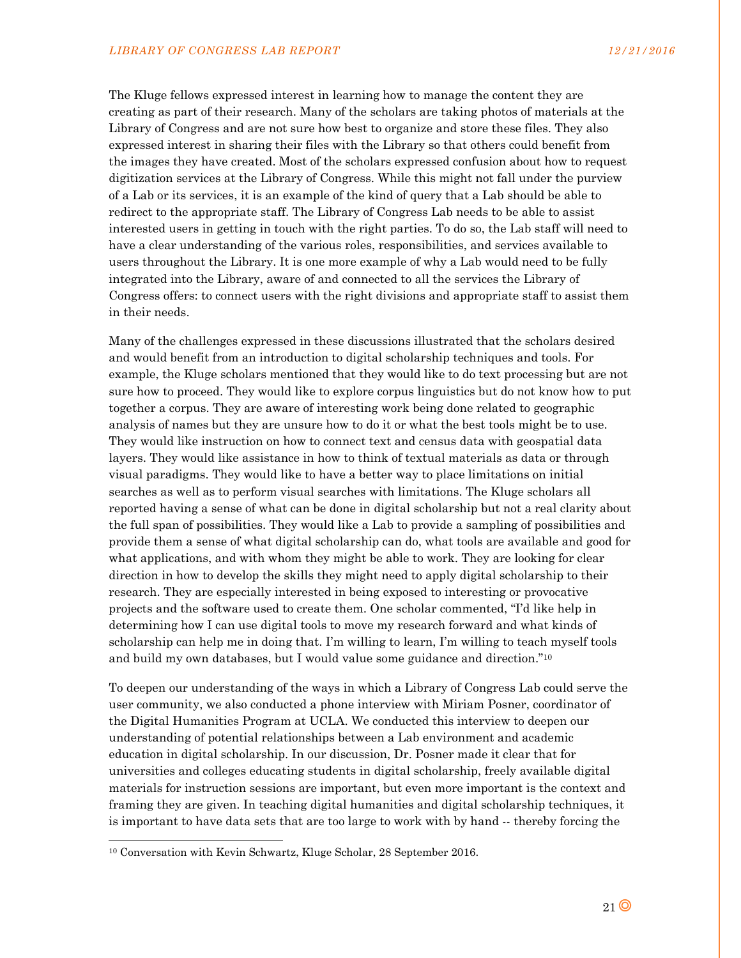The Kluge fellows expressed interest in learning how to manage the content they are creating as part of their research. Many of the scholars are taking photos of materials at the Library of Congress and are not sure how best to organize and store these files. They also expressed interest in sharing their files with the Library so that others could benefit from the images they have created. Most of the scholars expressed confusion about how to request digitization services at the Library of Congress. While this might not fall under the purview of a Lab or its services, it is an example of the kind of query that a Lab should be able to redirect to the appropriate staff. The Library of Congress Lab needs to be able to assist interested users in getting in touch with the right parties. To do so, the Lab staff will need to have a clear understanding of the various roles, responsibilities, and services available to users throughout the Library. It is one more example of why a Lab would need to be fully integrated into the Library, aware of and connected to all the services the Library of Congress offers: to connect users with the right divisions and appropriate staff to assist them in their needs.

Many of the challenges expressed in these discussions illustrated that the scholars desired and would benefit from an introduction to digital scholarship techniques and tools. For example, the Kluge scholars mentioned that they would like to do text processing but are not sure how to proceed. They would like to explore corpus linguistics but do not know how to put together a corpus. They are aware of interesting work being done related to geographic analysis of names but they are unsure how to do it or what the best tools might be to use. They would like instruction on how to connect text and census data with geospatial data layers. They would like assistance in how to think of textual materials as data or through visual paradigms. They would like to have a better way to place limitations on initial searches as well as to perform visual searches with limitations. The Kluge scholars all reported having a sense of what can be done in digital scholarship but not a real clarity about the full span of possibilities. They would like a Lab to provide a sampling of possibilities and provide them a sense of what digital scholarship can do, what tools are available and good for what applications, and with whom they might be able to work. They are looking for clear direction in how to develop the skills they might need to apply digital scholarship to their research. They are especially interested in being exposed to interesting or provocative projects and the software used to create them. One scholar commented, "I'd like help in determining how I can use digital tools to move my research forward and what kinds of scholarship can help me in doing that. I'm willing to learn, I'm willing to teach myself tools and build my own databases, but I would value some guidance and direction."10

To deepen our understanding of the ways in which a Library of Congress Lab could serve the user community, we also conducted a phone interview with Miriam Posner, coordinator of the Digital Humanities Program at UCLA. We conducted this interview to deepen our understanding of potential relationships between a Lab environment and academic education in digital scholarship. In our discussion, Dr. Posner made it clear that for universities and colleges educating students in digital scholarship, freely available digital materials for instruction sessions are important, but even more important is the context and framing they are given. In teaching digital humanities and digital scholarship techniques, it is important to have data sets that are too large to work with by hand -- thereby forcing the

1

<sup>10</sup> Conversation with Kevin Schwartz, Kluge Scholar, 28 September 2016.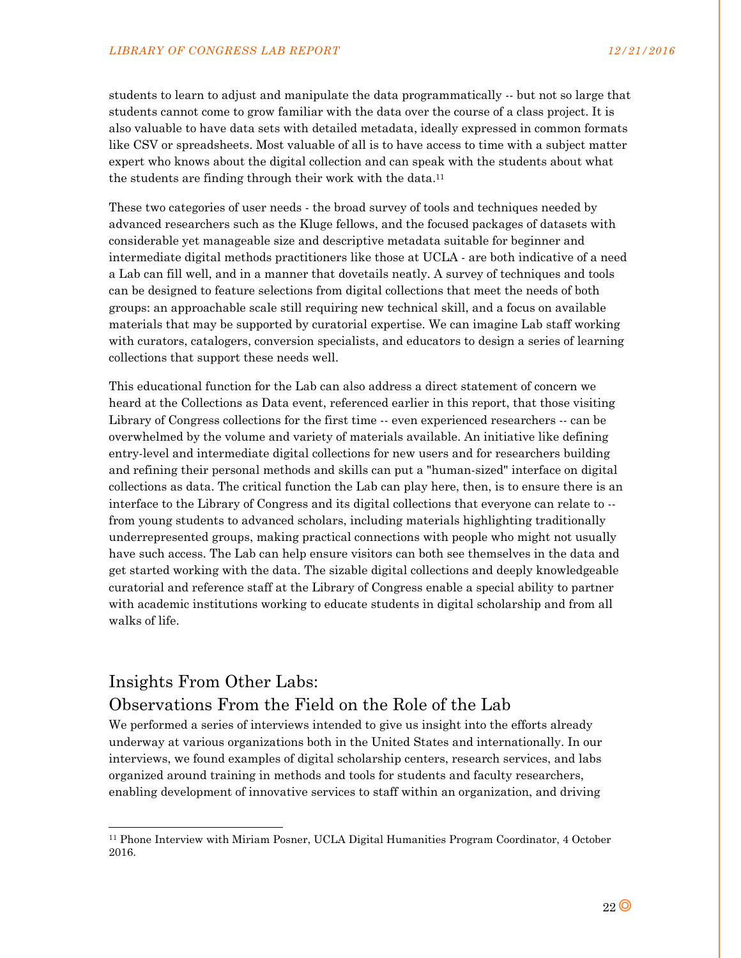students to learn to adjust and manipulate the data programmatically -- but not so large that students cannot come to grow familiar with the data over the course of a class project. It is also valuable to have data sets with detailed metadata, ideally expressed in common formats like CSV or spreadsheets. Most valuable of all is to have access to time with a subject matter expert who knows about the digital collection and can speak with the students about what the students are finding through their work with the data.<sup>11</sup>

These two categories of user needs - the broad survey of tools and techniques needed by advanced researchers such as the Kluge fellows, and the focused packages of datasets with considerable yet manageable size and descriptive metadata suitable for beginner and intermediate digital methods practitioners like those at UCLA - are both indicative of a need a Lab can fill well, and in a manner that dovetails neatly. A survey of techniques and tools can be designed to feature selections from digital collections that meet the needs of both groups: an approachable scale still requiring new technical skill, and a focus on available materials that may be supported by curatorial expertise. We can imagine Lab staff working with curators, catalogers, conversion specialists, and educators to design a series of learning collections that support these needs well.

This educational function for the Lab can also address a direct statement of concern we heard at the Collections as Data event, referenced earlier in this report, that those visiting Library of Congress collections for the first time -- even experienced researchers -- can be overwhelmed by the volume and variety of materials available. An initiative like defining entry-level and intermediate digital collections for new users and for researchers building and refining their personal methods and skills can put a "human-sized" interface on digital collections as data. The critical function the Lab can play here, then, is to ensure there is an interface to the Library of Congress and its digital collections that everyone can relate to - from young students to advanced scholars, including materials highlighting traditionally underrepresented groups, making practical connections with people who might not usually have such access. The Lab can help ensure visitors can both see themselves in the data and get started working with the data. The sizable digital collections and deeply knowledgeable curatorial and reference staff at the Library of Congress enable a special ability to partner with academic institutions working to educate students in digital scholarship and from all walks of life.

# Insights From Other Labs: Observations From the Field on the Role of the Lab

l

We performed a series of interviews intended to give us insight into the efforts already underway at various organizations both in the United States and internationally. In our interviews, we found examples of digital scholarship centers, research services, and labs organized around training in methods and tools for students and faculty researchers, enabling development of innovative services to staff within an organization, and driving

<sup>11</sup> Phone Interview with Miriam Posner, UCLA Digital Humanities Program Coordinator, 4 October 2016.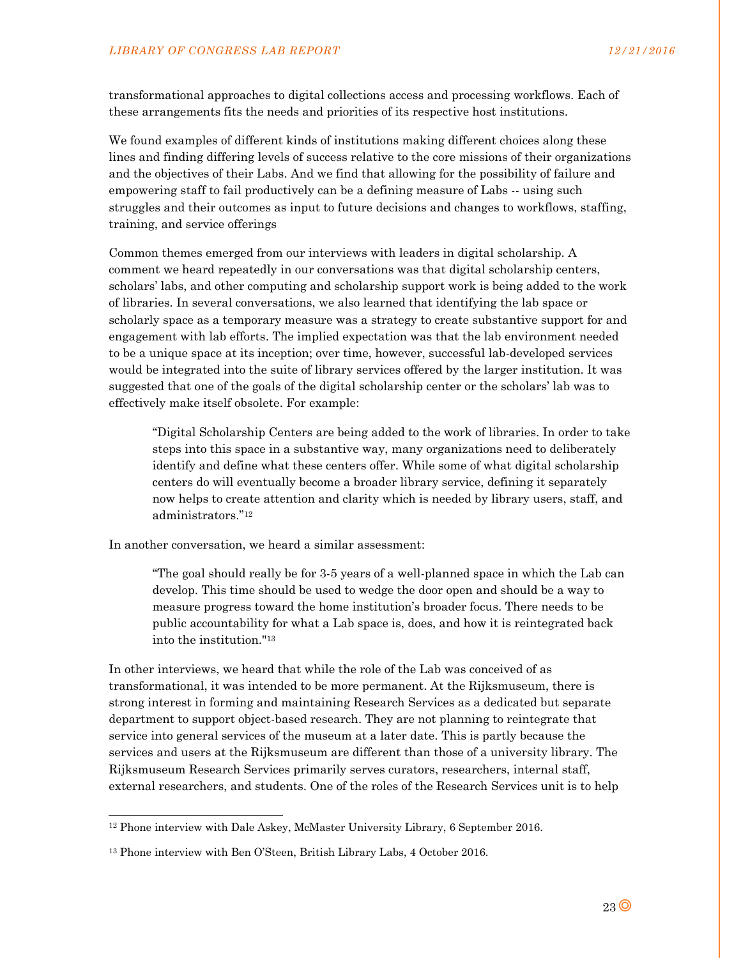transformational approaches to digital collections access and processing workflows. Each of these arrangements fits the needs and priorities of its respective host institutions.

We found examples of different kinds of institutions making different choices along these lines and finding differing levels of success relative to the core missions of their organizations and the objectives of their Labs. And we find that allowing for the possibility of failure and empowering staff to fail productively can be a defining measure of Labs -- using such struggles and their outcomes as input to future decisions and changes to workflows, staffing, training, and service offerings

Common themes emerged from our interviews with leaders in digital scholarship. A comment we heard repeatedly in our conversations was that digital scholarship centers, scholars' labs, and other computing and scholarship support work is being added to the work of libraries. In several conversations, we also learned that identifying the lab space or scholarly space as a temporary measure was a strategy to create substantive support for and engagement with lab efforts. The implied expectation was that the lab environment needed to be a unique space at its inception; over time, however, successful lab-developed services would be integrated into the suite of library services offered by the larger institution. It was suggested that one of the goals of the digital scholarship center or the scholars' lab was to effectively make itself obsolete. For example:

"Digital Scholarship Centers are being added to the work of libraries. In order to take steps into this space in a substantive way, many organizations need to deliberately identify and define what these centers offer. While some of what digital scholarship centers do will eventually become a broader library service, defining it separately now helps to create attention and clarity which is needed by library users, staff, and administrators."12

In another conversation, we heard a similar assessment:

"The goal should really be for 3-5 years of a well-planned space in which the Lab can develop. This time should be used to wedge the door open and should be a way to measure progress toward the home institution's broader focus. There needs to be public accountability for what a Lab space is, does, and how it is reintegrated back into the institution."13

In other interviews, we heard that while the role of the Lab was conceived of as transformational, it was intended to be more permanent. At the Rijksmuseum, there is strong interest in forming and maintaining Research Services as a dedicated but separate department to support object-based research. They are not planning to reintegrate that service into general services of the museum at a later date. This is partly because the services and users at the Rijksmuseum are different than those of a university library. The Rijksmuseum Research Services primarily serves curators, researchers, internal staff, external researchers, and students. One of the roles of the Research Services unit is to help

l

<sup>12</sup> Phone interview with Dale Askey, McMaster University Library, 6 September 2016.

<sup>13</sup> Phone interview with Ben O'Steen, British Library Labs, 4 October 2016.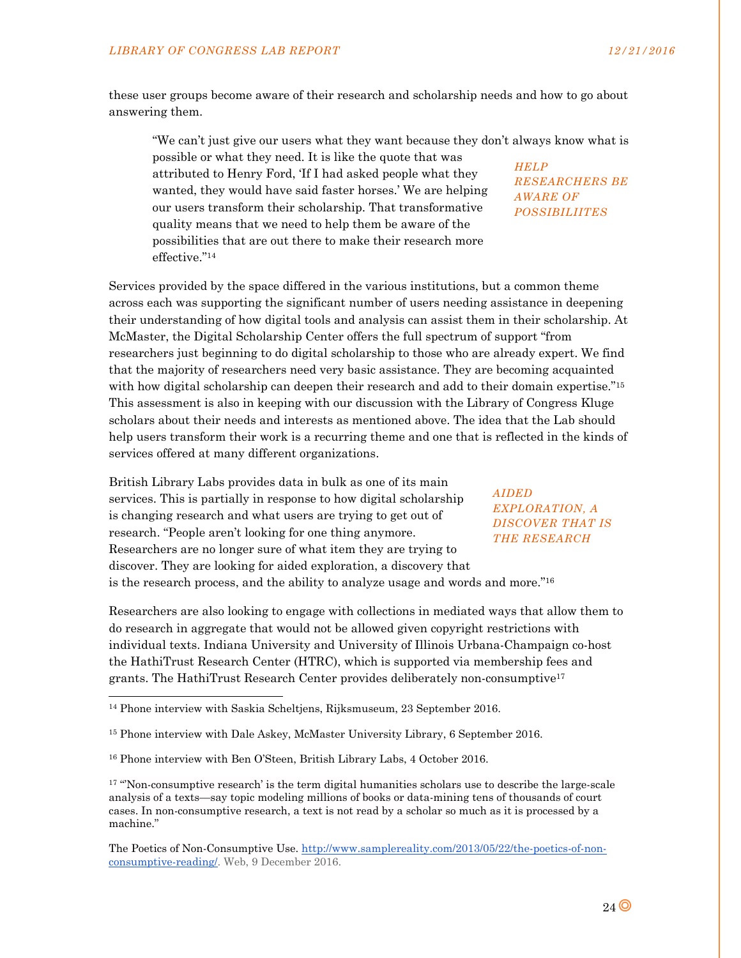these user groups become aware of their research and scholarship needs and how to go about answering them.

"We can't just give our users what they want because they don't always know what is possible or what they need. It is like the quote that was attributed to Henry Ford, 'If I had asked people what they wanted, they would have said faster horses.' We are helping our users transform their scholarship. That transformative quality means that we need to help them be aware of the possibilities that are out there to make their research more effective."<sup>14</sup> *HELP RESEARCHERS BE AWARE OF POSSIBILIITES* 

Services provided by the space differed in the various institutions, but a common theme across each was supporting the significant number of users needing assistance in deepening their understanding of how digital tools and analysis can assist them in their scholarship. At McMaster, the Digital Scholarship Center offers the full spectrum of support "from researchers just beginning to do digital scholarship to those who are already expert. We find that the majority of researchers need very basic assistance. They are becoming acquainted with how digital scholarship can deepen their research and add to their domain expertise."<sup>15</sup> This assessment is also in keeping with our discussion with the Library of Congress Kluge scholars about their needs and interests as mentioned above. The idea that the Lab should help users transform their work is a recurring theme and one that is reflected in the kinds of services offered at many different organizations.

British Library Labs provides data in bulk as one of its main services. This is partially in response to how digital scholarship is changing research and what users are trying to get out of research. "People aren't looking for one thing anymore. Researchers are no longer sure of what item they are trying to discover. They are looking for aided exploration, a discovery that

*AIDED EXPLORATION, A DISCOVER THAT IS THE RESEARCH* 

is the research process, and the ability to analyze usage and words and more."16

Researchers are also looking to engage with collections in mediated ways that allow them to do research in aggregate that would not be allowed given copyright restrictions with individual texts. Indiana University and University of Illinois Urbana-Champaign co-host the HathiTrust Research Center (HTRC), which is supported via membership fees and grants. The HathiTrust Research Center provides deliberately non-consumptive17

1

<sup>14</sup> Phone interview with Saskia Scheltjens, Rijksmuseum, 23 September 2016.

<sup>15</sup> Phone interview with Dale Askey, McMaster University Library, 6 September 2016.

<sup>&</sup>lt;sup>16</sup> Phone interview with Ben O'Steen, British Library Labs, 4 October 2016.

<sup>&</sup>lt;sup>17</sup> "Non-consumptive research' is the term digital humanities scholars use to describe the large-scale analysis of a texts—say topic modeling millions of books or data-mining tens of thousands of court cases. In non-consumptive research, a text is not read by a scholar so much as it is processed by a machine."

The Poetics of Non-Consumptive Use. http://www.samplereality.com/2013/05/22/the-poetics-of-nonconsumptive-reading/. Web, 9 December 2016.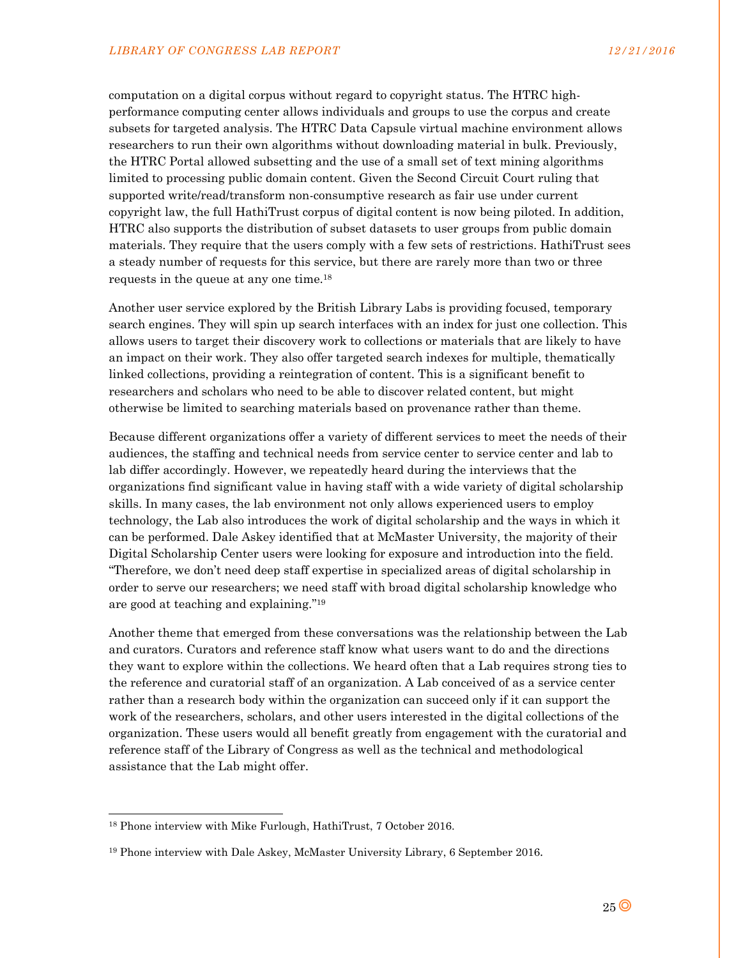computation on a digital corpus without regard to copyright status. The HTRC highperformance computing center allows individuals and groups to use the corpus and create subsets for targeted analysis. The HTRC Data Capsule virtual machine environment allows researchers to run their own algorithms without downloading material in bulk. Previously, the HTRC Portal allowed subsetting and the use of a small set of text mining algorithms limited to processing public domain content. Given the Second Circuit Court ruling that supported write/read/transform non-consumptive research as fair use under current copyright law, the full HathiTrust corpus of digital content is now being piloted. In addition, HTRC also supports the distribution of subset datasets to user groups from public domain materials. They require that the users comply with a few sets of restrictions. HathiTrust sees a steady number of requests for this service, but there are rarely more than two or three requests in the queue at any one time.18

Another user service explored by the British Library Labs is providing focused, temporary search engines. They will spin up search interfaces with an index for just one collection. This allows users to target their discovery work to collections or materials that are likely to have an impact on their work. They also offer targeted search indexes for multiple, thematically linked collections, providing a reintegration of content. This is a significant benefit to researchers and scholars who need to be able to discover related content, but might otherwise be limited to searching materials based on provenance rather than theme.

Because different organizations offer a variety of different services to meet the needs of their audiences, the staffing and technical needs from service center to service center and lab to lab differ accordingly. However, we repeatedly heard during the interviews that the organizations find significant value in having staff with a wide variety of digital scholarship skills. In many cases, the lab environment not only allows experienced users to employ technology, the Lab also introduces the work of digital scholarship and the ways in which it can be performed. Dale Askey identified that at McMaster University, the majority of their Digital Scholarship Center users were looking for exposure and introduction into the field. "Therefore, we don't need deep staff expertise in specialized areas of digital scholarship in order to serve our researchers; we need staff with broad digital scholarship knowledge who are good at teaching and explaining."19

Another theme that emerged from these conversations was the relationship between the Lab and curators. Curators and reference staff know what users want to do and the directions they want to explore within the collections. We heard often that a Lab requires strong ties to the reference and curatorial staff of an organization. A Lab conceived of as a service center rather than a research body within the organization can succeed only if it can support the work of the researchers, scholars, and other users interested in the digital collections of the organization. These users would all benefit greatly from engagement with the curatorial and reference staff of the Library of Congress as well as the technical and methodological assistance that the Lab might offer.

-

<sup>18</sup> Phone interview with Mike Furlough, HathiTrust, 7 October 2016.

<sup>19</sup> Phone interview with Dale Askey, McMaster University Library, 6 September 2016.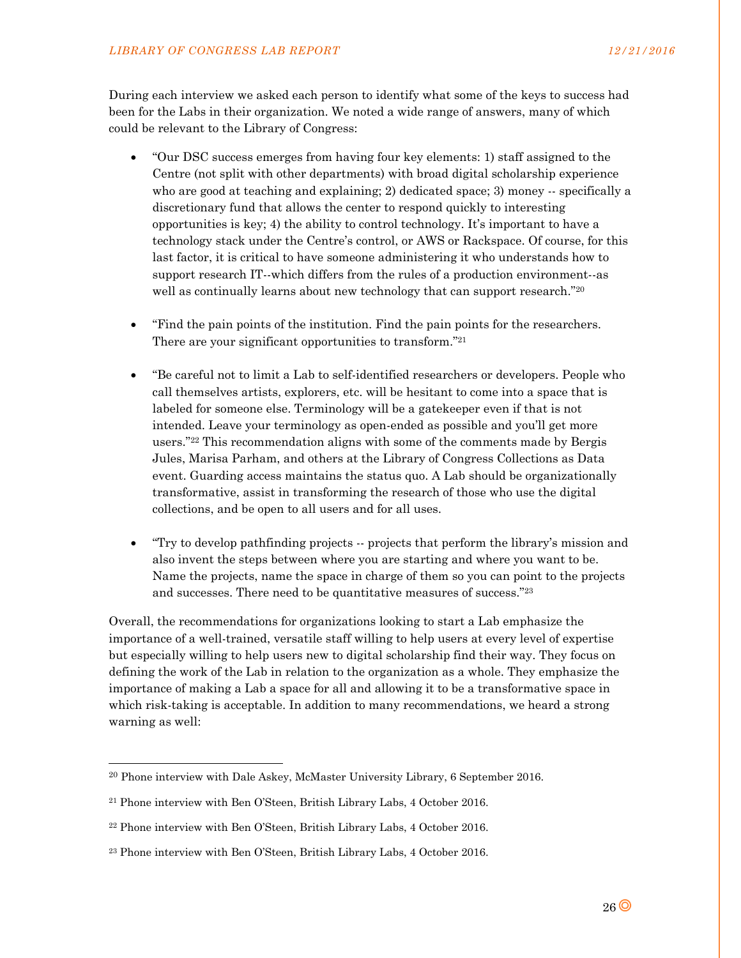During each interview we asked each person to identify what some of the keys to success had been for the Labs in their organization. We noted a wide range of answers, many of which could be relevant to the Library of Congress:

- "Our DSC success emerges from having four key elements: 1) staff assigned to the Centre (not split with other departments) with broad digital scholarship experience who are good at teaching and explaining; 2) dedicated space; 3) money -- specifically a discretionary fund that allows the center to respond quickly to interesting opportunities is key; 4) the ability to control technology. It's important to have a technology stack under the Centre's control, or AWS or Rackspace. Of course, for this last factor, it is critical to have someone administering it who understands how to support research IT--which differs from the rules of a production environment--as well as continually learns about new technology that can support research."20
- "Find the pain points of the institution. Find the pain points for the researchers. There are your significant opportunities to transform."21
- "Be careful not to limit a Lab to self-identified researchers or developers. People who call themselves artists, explorers, etc. will be hesitant to come into a space that is labeled for someone else. Terminology will be a gatekeeper even if that is not intended. Leave your terminology as open-ended as possible and you'll get more users."22 This recommendation aligns with some of the comments made by Bergis Jules, Marisa Parham, and others at the Library of Congress Collections as Data event. Guarding access maintains the status quo. A Lab should be organizationally transformative, assist in transforming the research of those who use the digital collections, and be open to all users and for all uses.
- "Try to develop pathfinding projects -- projects that perform the library's mission and also invent the steps between where you are starting and where you want to be. Name the projects, name the space in charge of them so you can point to the projects and successes. There need to be quantitative measures of success."23

Overall, the recommendations for organizations looking to start a Lab emphasize the importance of a well-trained, versatile staff willing to help users at every level of expertise but especially willing to help users new to digital scholarship find their way. They focus on defining the work of the Lab in relation to the organization as a whole. They emphasize the importance of making a Lab a space for all and allowing it to be a transformative space in which risk-taking is acceptable. In addition to many recommendations, we heard a strong warning as well:

-

<sup>20</sup> Phone interview with Dale Askey, McMaster University Library, 6 September 2016.

<sup>21</sup> Phone interview with Ben O'Steen, British Library Labs, 4 October 2016.

<sup>22</sup> Phone interview with Ben O'Steen, British Library Labs, 4 October 2016.

<sup>23</sup> Phone interview with Ben O'Steen, British Library Labs, 4 October 2016.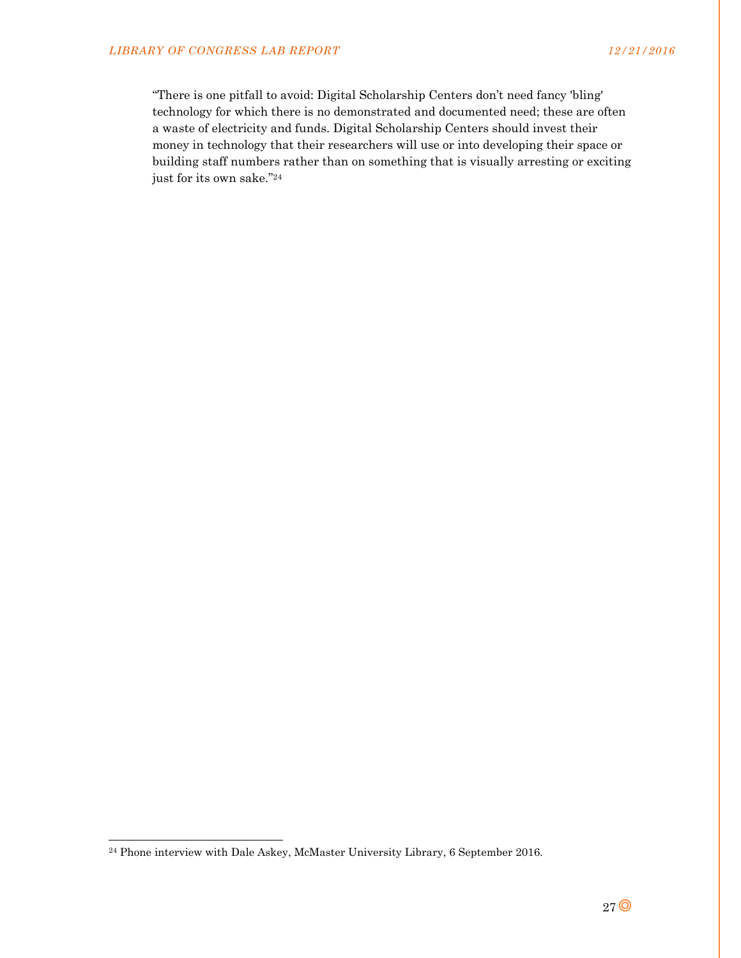"There is one pitfall to avoid: Digital Scholarship Centers don't need fancy 'bling' technology for which there is no demonstrated and documented need; these are often a waste of electricity and funds. Digital Scholarship Centers should invest their money in technology that their researchers will use or into developing their space or building staff numbers rather than on something that is visually arresting or exciting just for its own sake."24

l

<sup>&</sup>lt;sup>24</sup> Phone interview with Dale Askey, McMaster University Library, 6 September 2016.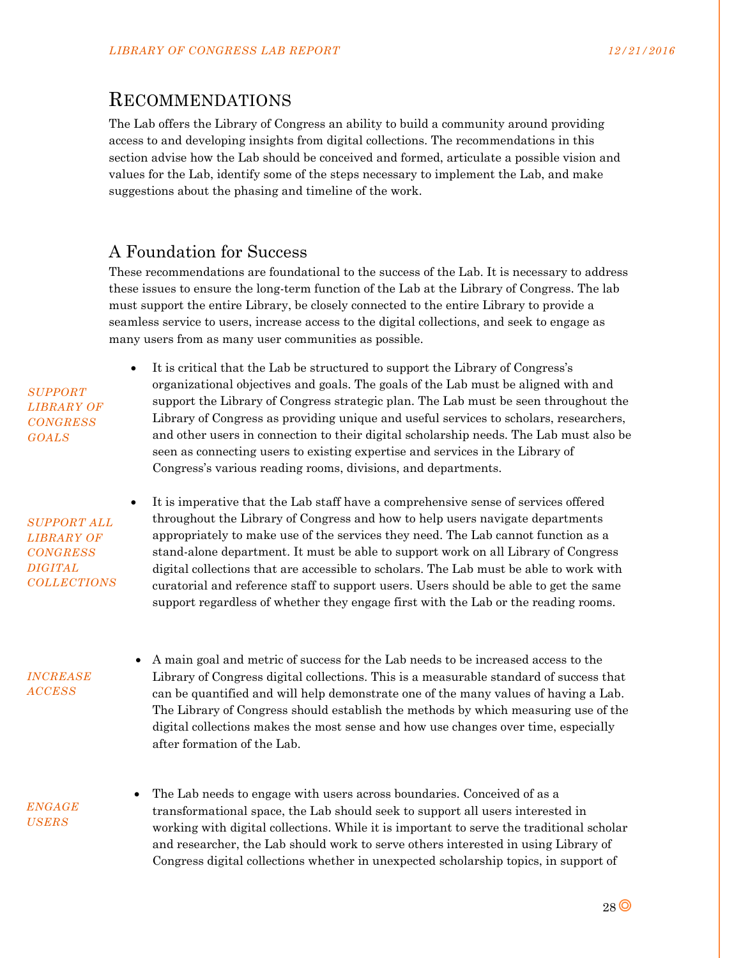# RECOMMENDATIONS

The Lab offers the Library of Congress an ability to build a community around providing access to and developing insights from digital collections. The recommendations in this section advise how the Lab should be conceived and formed, articulate a possible vision and values for the Lab, identify some of the steps necessary to implement the Lab, and make suggestions about the phasing and timeline of the work.

# A Foundation for Success

These recommendations are foundational to the success of the Lab. It is necessary to address these issues to ensure the long-term function of the Lab at the Library of Congress. The lab must support the entire Library, be closely connected to the entire Library to provide a seamless service to users, increase access to the digital collections, and seek to engage as many users from as many user communities as possible.

 It is critical that the Lab be structured to support the Library of Congress's organizational objectives and goals. The goals of the Lab must be aligned with and support the Library of Congress strategic plan. The Lab must be seen throughout the Library of Congress as providing unique and useful services to scholars, researchers, and other users in connection to their digital scholarship needs. The Lab must also be seen as connecting users to existing expertise and services in the Library of Congress's various reading rooms, divisions, and departments.

 It is imperative that the Lab staff have a comprehensive sense of services offered throughout the Library of Congress and how to help users navigate departments appropriately to make use of the services they need. The Lab cannot function as a stand-alone department. It must be able to support work on all Library of Congress digital collections that are accessible to scholars. The Lab must be able to work with curatorial and reference staff to support users. Users should be able to get the same support regardless of whether they engage first with the Lab or the reading rooms.

*INCREASE ACCESS* 

*SUPPORT LIBRARY OF CONGRESS GOALS* 

*SUPPORT ALL LIBRARY OF CONGRESS DIGITAL COLLECTIONS* 

> A main goal and metric of success for the Lab needs to be increased access to the Library of Congress digital collections. This is a measurable standard of success that can be quantified and will help demonstrate one of the many values of having a Lab. The Library of Congress should establish the methods by which measuring use of the digital collections makes the most sense and how use changes over time, especially after formation of the Lab.

*ENGAGE USERS* 

 The Lab needs to engage with users across boundaries. Conceived of as a transformational space, the Lab should seek to support all users interested in working with digital collections. While it is important to serve the traditional scholar and researcher, the Lab should work to serve others interested in using Library of Congress digital collections whether in unexpected scholarship topics, in support of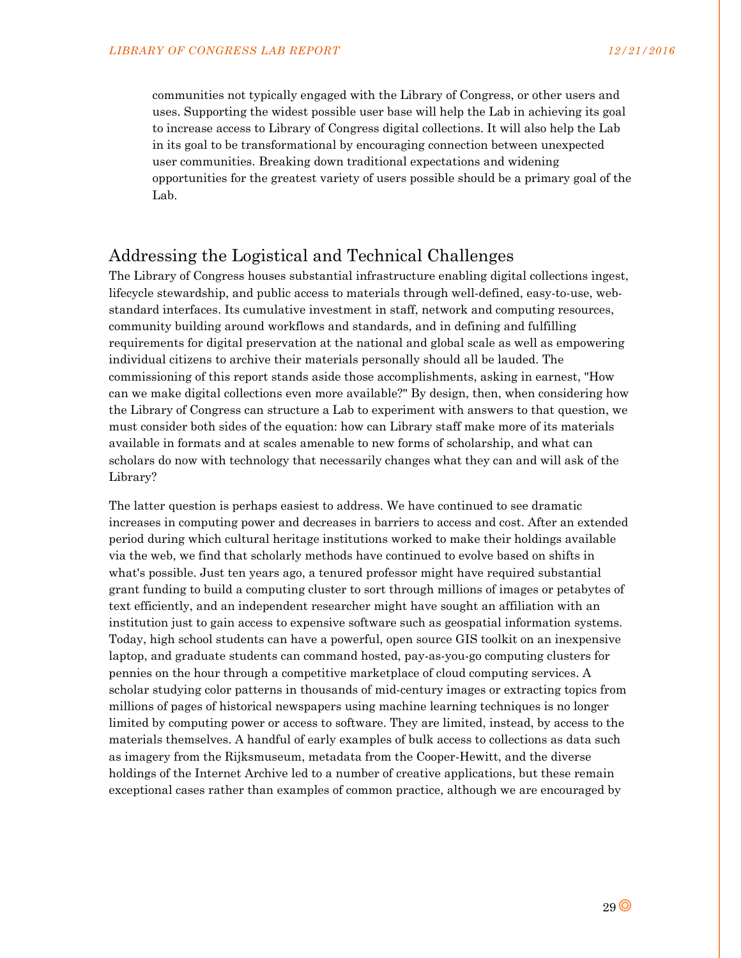communities not typically engaged with the Library of Congress, or other users and uses. Supporting the widest possible user base will help the Lab in achieving its goal to increase access to Library of Congress digital collections. It will also help the Lab in its goal to be transformational by encouraging connection between unexpected user communities. Breaking down traditional expectations and widening opportunities for the greatest variety of users possible should be a primary goal of the Lab.

## Addressing the Logistical and Technical Challenges

The Library of Congress houses substantial infrastructure enabling digital collections ingest, lifecycle stewardship, and public access to materials through well-defined, easy-to-use, webstandard interfaces. Its cumulative investment in staff, network and computing resources, community building around workflows and standards, and in defining and fulfilling requirements for digital preservation at the national and global scale as well as empowering individual citizens to archive their materials personally should all be lauded. The commissioning of this report stands aside those accomplishments, asking in earnest, "How can we make digital collections even more available?" By design, then, when considering how the Library of Congress can structure a Lab to experiment with answers to that question, we must consider both sides of the equation: how can Library staff make more of its materials available in formats and at scales amenable to new forms of scholarship, and what can scholars do now with technology that necessarily changes what they can and will ask of the Library?

The latter question is perhaps easiest to address. We have continued to see dramatic increases in computing power and decreases in barriers to access and cost. After an extended period during which cultural heritage institutions worked to make their holdings available via the web, we find that scholarly methods have continued to evolve based on shifts in what's possible. Just ten years ago, a tenured professor might have required substantial grant funding to build a computing cluster to sort through millions of images or petabytes of text efficiently, and an independent researcher might have sought an affiliation with an institution just to gain access to expensive software such as geospatial information systems. Today, high school students can have a powerful, open source GIS toolkit on an inexpensive laptop, and graduate students can command hosted, pay-as-you-go computing clusters for pennies on the hour through a competitive marketplace of cloud computing services. A scholar studying color patterns in thousands of mid-century images or extracting topics from millions of pages of historical newspapers using machine learning techniques is no longer limited by computing power or access to software. They are limited, instead, by access to the materials themselves. A handful of early examples of bulk access to collections as data such as imagery from the Rijksmuseum, metadata from the Cooper-Hewitt, and the diverse holdings of the Internet Archive led to a number of creative applications, but these remain exceptional cases rather than examples of common practice, although we are encouraged by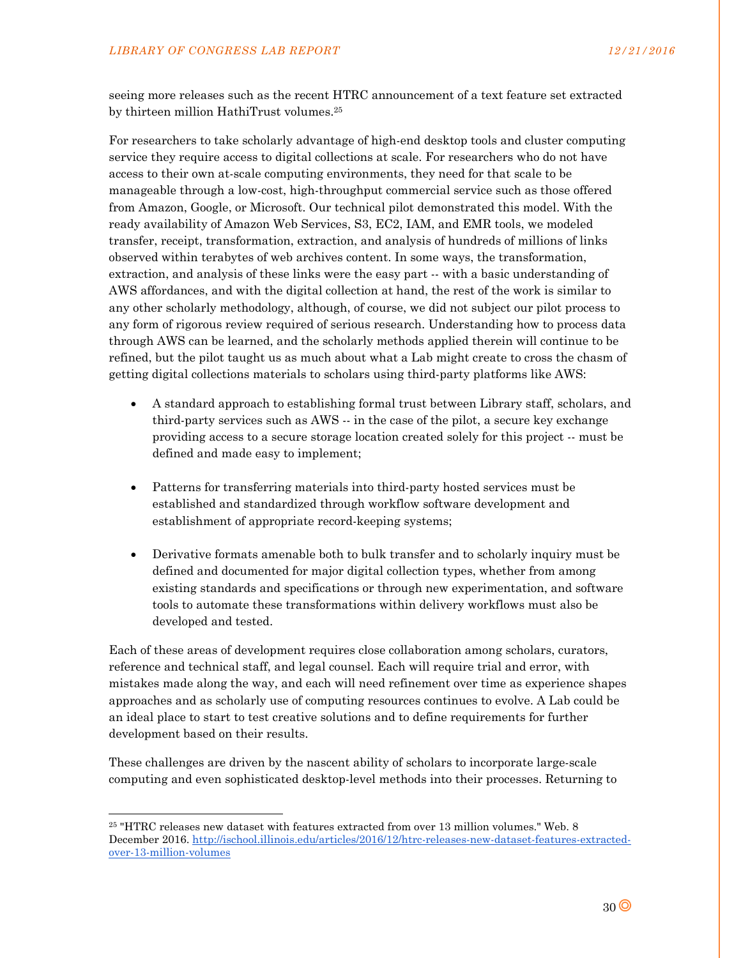seeing more releases such as the recent HTRC announcement of a text feature set extracted by thirteen million HathiTrust volumes.25

For researchers to take scholarly advantage of high-end desktop tools and cluster computing service they require access to digital collections at scale. For researchers who do not have access to their own at-scale computing environments, they need for that scale to be manageable through a low-cost, high-throughput commercial service such as those offered from Amazon, Google, or Microsoft. Our technical pilot demonstrated this model. With the ready availability of Amazon Web Services, S3, EC2, IAM, and EMR tools, we modeled transfer, receipt, transformation, extraction, and analysis of hundreds of millions of links observed within terabytes of web archives content. In some ways, the transformation, extraction, and analysis of these links were the easy part -- with a basic understanding of AWS affordances, and with the digital collection at hand, the rest of the work is similar to any other scholarly methodology, although, of course, we did not subject our pilot process to any form of rigorous review required of serious research. Understanding how to process data through AWS can be learned, and the scholarly methods applied therein will continue to be refined, but the pilot taught us as much about what a Lab might create to cross the chasm of getting digital collections materials to scholars using third-party platforms like AWS:

- A standard approach to establishing formal trust between Library staff, scholars, and third-party services such as AWS -- in the case of the pilot, a secure key exchange providing access to a secure storage location created solely for this project -- must be defined and made easy to implement;
- Patterns for transferring materials into third-party hosted services must be established and standardized through workflow software development and establishment of appropriate record-keeping systems;
- Derivative formats amenable both to bulk transfer and to scholarly inquiry must be defined and documented for major digital collection types, whether from among existing standards and specifications or through new experimentation, and software tools to automate these transformations within delivery workflows must also be developed and tested.

Each of these areas of development requires close collaboration among scholars, curators, reference and technical staff, and legal counsel. Each will require trial and error, with mistakes made along the way, and each will need refinement over time as experience shapes approaches and as scholarly use of computing resources continues to evolve. A Lab could be an ideal place to start to test creative solutions and to define requirements for further development based on their results.

These challenges are driven by the nascent ability of scholars to incorporate large-scale computing and even sophisticated desktop-level methods into their processes. Returning to

l

<sup>25 &</sup>quot;HTRC releases new dataset with features extracted from over 13 million volumes." Web. 8 December 2016. http://ischool.illinois.edu/articles/2016/12/htrc-releases-new-dataset-features-extractedover-13-million-volumes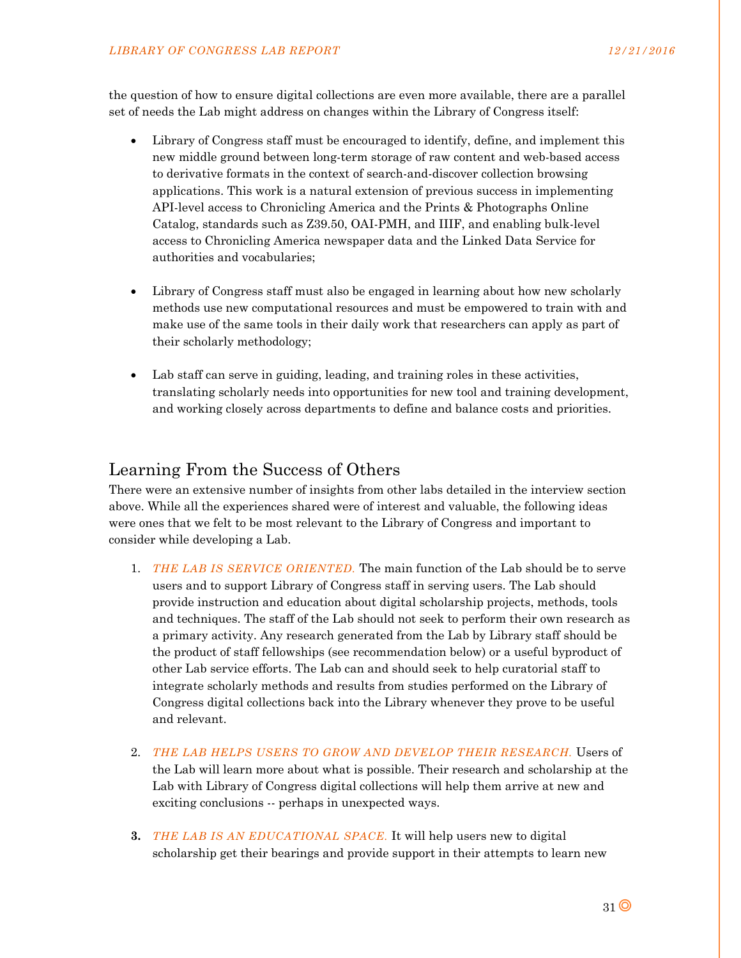the question of how to ensure digital collections are even more available, there are a parallel set of needs the Lab might address on changes within the Library of Congress itself:

- Library of Congress staff must be encouraged to identify, define, and implement this new middle ground between long-term storage of raw content and web-based access to derivative formats in the context of search-and-discover collection browsing applications. This work is a natural extension of previous success in implementing API-level access to Chronicling America and the Prints & Photographs Online Catalog, standards such as Z39.50, OAI-PMH, and IIIF, and enabling bulk-level access to Chronicling America newspaper data and the Linked Data Service for authorities and vocabularies;
- Library of Congress staff must also be engaged in learning about how new scholarly methods use new computational resources and must be empowered to train with and make use of the same tools in their daily work that researchers can apply as part of their scholarly methodology;
- Lab staff can serve in guiding, leading, and training roles in these activities, translating scholarly needs into opportunities for new tool and training development, and working closely across departments to define and balance costs and priorities.

## Learning From the Success of Others

There were an extensive number of insights from other labs detailed in the interview section above. While all the experiences shared were of interest and valuable, the following ideas were ones that we felt to be most relevant to the Library of Congress and important to consider while developing a Lab.

- 1. *THE LAB IS SERVICE ORIENTED.* The main function of the Lab should be to serve users and to support Library of Congress staff in serving users. The Lab should provide instruction and education about digital scholarship projects, methods, tools and techniques. The staff of the Lab should not seek to perform their own research as a primary activity. Any research generated from the Lab by Library staff should be the product of staff fellowships (see recommendation below) or a useful byproduct of other Lab service efforts. The Lab can and should seek to help curatorial staff to integrate scholarly methods and results from studies performed on the Library of Congress digital collections back into the Library whenever they prove to be useful and relevant.
- 2. *THE LAB HELPS USERS TO GROW AND DEVELOP THEIR RESEARCH.* Users of the Lab will learn more about what is possible. Their research and scholarship at the Lab with Library of Congress digital collections will help them arrive at new and exciting conclusions -- perhaps in unexpected ways.
- **3.** *THE LAB IS AN EDUCATIONAL SPACE.* It will help users new to digital scholarship get their bearings and provide support in their attempts to learn new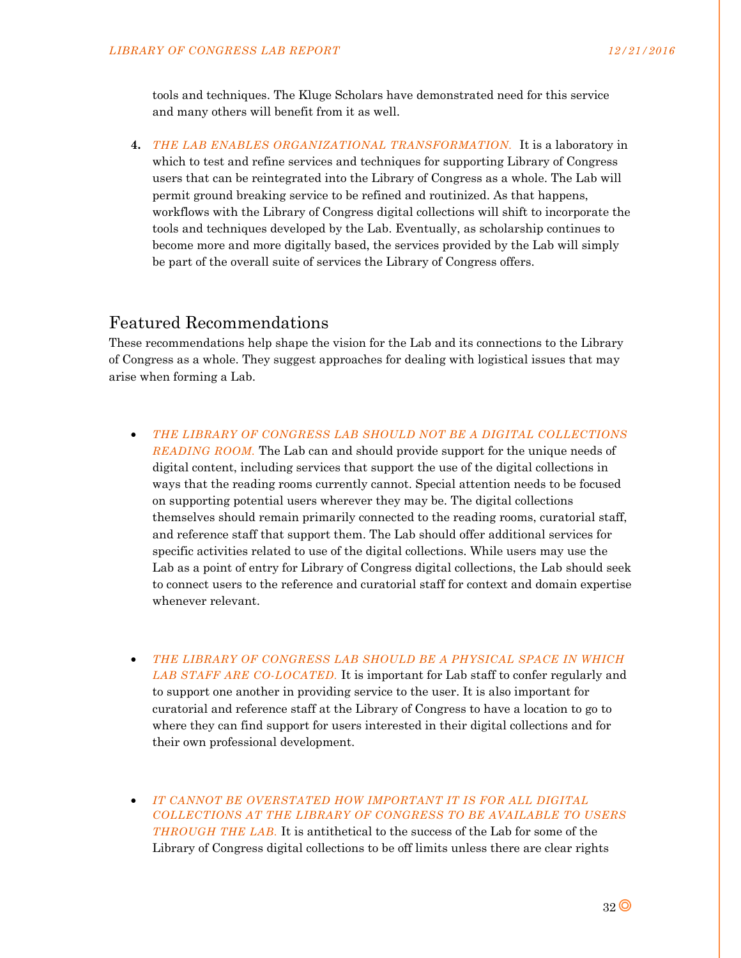tools and techniques. The Kluge Scholars have demonstrated need for this service and many others will benefit from it as well.

**4.** *THE LAB ENABLES ORGANIZATIONAL TRANSFORMATION.*It is a laboratory in which to test and refine services and techniques for supporting Library of Congress users that can be reintegrated into the Library of Congress as a whole. The Lab will permit ground breaking service to be refined and routinized. As that happens, workflows with the Library of Congress digital collections will shift to incorporate the tools and techniques developed by the Lab. Eventually, as scholarship continues to become more and more digitally based, the services provided by the Lab will simply be part of the overall suite of services the Library of Congress offers.

## Featured Recommendations

These recommendations help shape the vision for the Lab and its connections to the Library of Congress as a whole. They suggest approaches for dealing with logistical issues that may arise when forming a Lab.

- *THE LIBRARY OF CONGRESS LAB SHOULD NOT BE A DIGITAL COLLECTIONS READING ROOM.* The Lab can and should provide support for the unique needs of digital content, including services that support the use of the digital collections in ways that the reading rooms currently cannot. Special attention needs to be focused on supporting potential users wherever they may be. The digital collections themselves should remain primarily connected to the reading rooms, curatorial staff, and reference staff that support them. The Lab should offer additional services for specific activities related to use of the digital collections. While users may use the Lab as a point of entry for Library of Congress digital collections, the Lab should seek to connect users to the reference and curatorial staff for context and domain expertise whenever relevant.
- *THE LIBRARY OF CONGRESS LAB SHOULD BE A PHYSICAL SPACE IN WHICH LAB STAFF ARE CO-LOCATED.* It is important for Lab staff to confer regularly and to support one another in providing service to the user. It is also important for curatorial and reference staff at the Library of Congress to have a location to go to where they can find support for users interested in their digital collections and for their own professional development.
- *IT CANNOT BE OVERSTATED HOW IMPORTANT IT IS FOR ALL DIGITAL COLLECTIONS AT THE LIBRARY OF CONGRESS TO BE AVAILABLE TO USERS THROUGH THE LAB.* It is antithetical to the success of the Lab for some of the Library of Congress digital collections to be off limits unless there are clear rights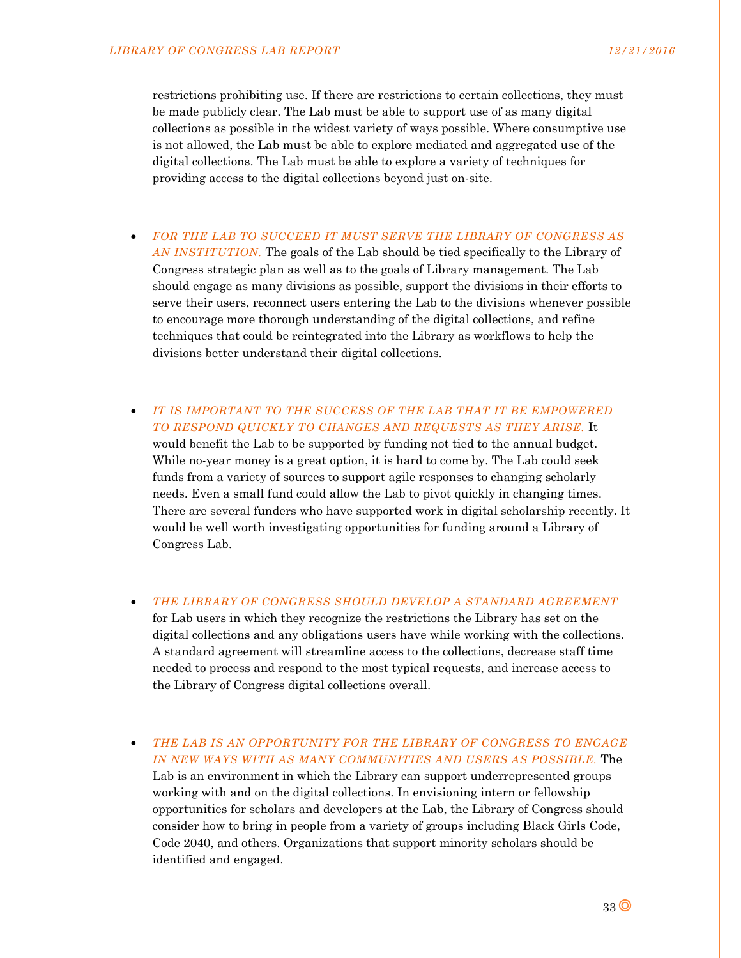restrictions prohibiting use. If there are restrictions to certain collections, they must be made publicly clear. The Lab must be able to support use of as many digital collections as possible in the widest variety of ways possible. Where consumptive use is not allowed, the Lab must be able to explore mediated and aggregated use of the digital collections. The Lab must be able to explore a variety of techniques for providing access to the digital collections beyond just on-site.

- *FOR THE LAB TO SUCCEED IT MUST SERVE THE LIBRARY OF CONGRESS AS AN INSTITUTION.* The goals of the Lab should be tied specifically to the Library of Congress strategic plan as well as to the goals of Library management. The Lab should engage as many divisions as possible, support the divisions in their efforts to serve their users, reconnect users entering the Lab to the divisions whenever possible to encourage more thorough understanding of the digital collections, and refine techniques that could be reintegrated into the Library as workflows to help the divisions better understand their digital collections.
- *IT IS IMPORTANT TO THE SUCCESS OF THE LAB THAT IT BE EMPOWERED TO RESPOND QUICKLY TO CHANGES AND REQUESTS AS THEY ARISE.* It would benefit the Lab to be supported by funding not tied to the annual budget. While no-year money is a great option, it is hard to come by. The Lab could seek funds from a variety of sources to support agile responses to changing scholarly needs. Even a small fund could allow the Lab to pivot quickly in changing times. There are several funders who have supported work in digital scholarship recently. It would be well worth investigating opportunities for funding around a Library of Congress Lab.
- *THE LIBRARY OF CONGRESS SHOULD DEVELOP A STANDARD AGREEMENT* for Lab users in which they recognize the restrictions the Library has set on the digital collections and any obligations users have while working with the collections. A standard agreement will streamline access to the collections, decrease staff time needed to process and respond to the most typical requests, and increase access to the Library of Congress digital collections overall.
- *THE LAB IS AN OPPORTUNITY FOR THE LIBRARY OF CONGRESS TO ENGAGE IN NEW WAYS WITH AS MANY COMMUNITIES AND USERS AS POSSIBLE.* The Lab is an environment in which the Library can support underrepresented groups working with and on the digital collections. In envisioning intern or fellowship opportunities for scholars and developers at the Lab, the Library of Congress should consider how to bring in people from a variety of groups including Black Girls Code, Code 2040, and others. Organizations that support minority scholars should be identified and engaged.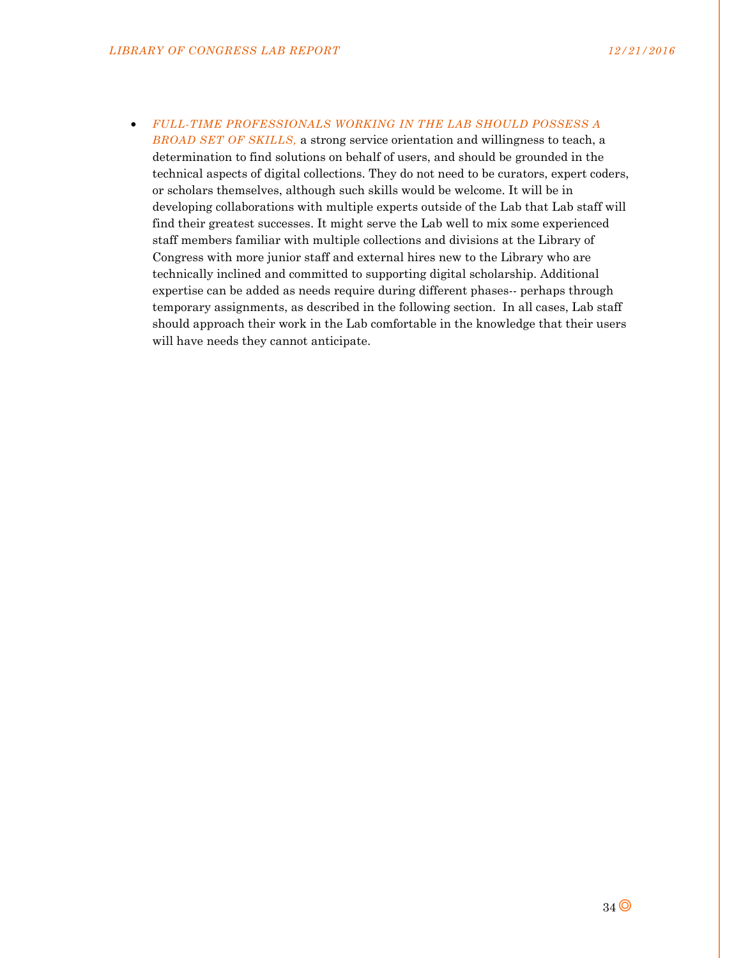*FULL-TIME PROFESSIONALS WORKING IN THE LAB SHOULD POSSESS A BROAD SET OF SKILLS,* a strong service orientation and willingness to teach, a determination to find solutions on behalf of users, and should be grounded in the technical aspects of digital collections. They do not need to be curators, expert coders, or scholars themselves, although such skills would be welcome. It will be in developing collaborations with multiple experts outside of the Lab that Lab staff will find their greatest successes. It might serve the Lab well to mix some experienced staff members familiar with multiple collections and divisions at the Library of Congress with more junior staff and external hires new to the Library who are technically inclined and committed to supporting digital scholarship. Additional expertise can be added as needs require during different phases-- perhaps through temporary assignments, as described in the following section. In all cases, Lab staff should approach their work in the Lab comfortable in the knowledge that their users will have needs they cannot anticipate.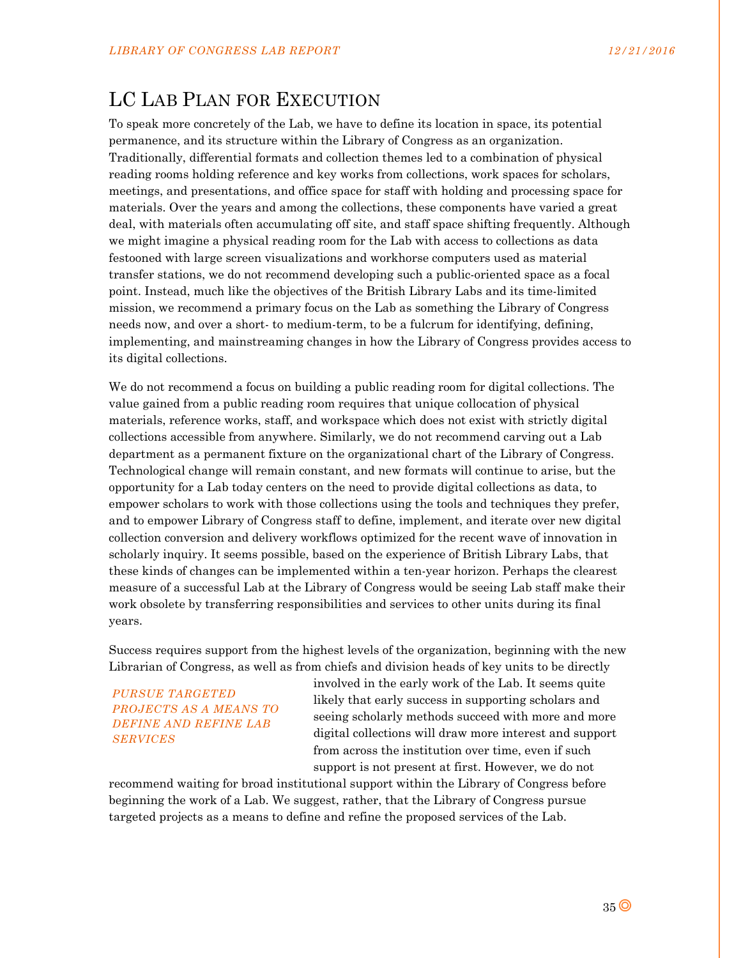# LC LAB PLAN FOR EXECUTION

To speak more concretely of the Lab, we have to define its location in space, its potential permanence, and its structure within the Library of Congress as an organization. Traditionally, differential formats and collection themes led to a combination of physical reading rooms holding reference and key works from collections, work spaces for scholars, meetings, and presentations, and office space for staff with holding and processing space for materials. Over the years and among the collections, these components have varied a great deal, with materials often accumulating off site, and staff space shifting frequently. Although we might imagine a physical reading room for the Lab with access to collections as data festooned with large screen visualizations and workhorse computers used as material transfer stations, we do not recommend developing such a public-oriented space as a focal point. Instead, much like the objectives of the British Library Labs and its time-limited mission, we recommend a primary focus on the Lab as something the Library of Congress needs now, and over a short- to medium-term, to be a fulcrum for identifying, defining, implementing, and mainstreaming changes in how the Library of Congress provides access to its digital collections.

We do not recommend a focus on building a public reading room for digital collections. The value gained from a public reading room requires that unique collocation of physical materials, reference works, staff, and workspace which does not exist with strictly digital collections accessible from anywhere. Similarly, we do not recommend carving out a Lab department as a permanent fixture on the organizational chart of the Library of Congress. Technological change will remain constant, and new formats will continue to arise, but the opportunity for a Lab today centers on the need to provide digital collections as data, to empower scholars to work with those collections using the tools and techniques they prefer, and to empower Library of Congress staff to define, implement, and iterate over new digital collection conversion and delivery workflows optimized for the recent wave of innovation in scholarly inquiry. It seems possible, based on the experience of British Library Labs, that these kinds of changes can be implemented within a ten-year horizon. Perhaps the clearest measure of a successful Lab at the Library of Congress would be seeing Lab staff make their work obsolete by transferring responsibilities and services to other units during its final years.

Success requires support from the highest levels of the organization, beginning with the new Librarian of Congress, as well as from chiefs and division heads of key units to be directly

*PURSUE TARGETED PROJECTS AS A MEANS TO DEFINE AND REFINE LAB SERVICES* 

involved in the early work of the Lab. It seems quite likely that early success in supporting scholars and seeing scholarly methods succeed with more and more digital collections will draw more interest and support from across the institution over time, even if such support is not present at first. However, we do not

recommend waiting for broad institutional support within the Library of Congress before beginning the work of a Lab. We suggest, rather, that the Library of Congress pursue targeted projects as a means to define and refine the proposed services of the Lab.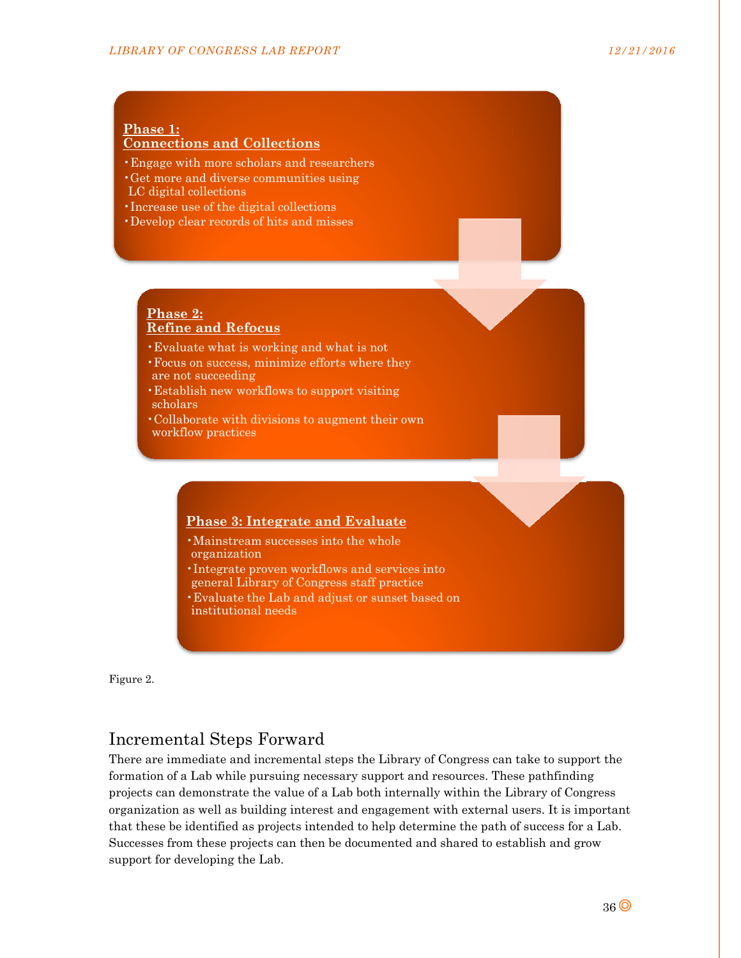#### **Phase 1: Connections and Collections**

- •Engage with more scholars and researchers
- •Get more and diverse communities using LC digital collections
- •Increase use of the digital collections
- •Develop clear records of hits and misses

## **Phase 2: Refine and Refocus**

- •Evaluate what is working and what is not
- •Focus on success, minimize efforts where they are not succeeding
- •Establish new workflows to support visiting scholars
- •Collaborate with divisions to augment their own workflow practices

## **Phase 3: Integrate and Evaluate**

- •Mainstream successes into the whole organization
- •Integrate proven workflows and services into general Library of Congress staff practice
- •Evaluate the Lab and adjust or sunset based on institutional needs

Figure 2.

## Incremental Steps Forward

There are immediate and incremental steps the Library of Congress can take to support the formation of a Lab while pursuing necessary support and resources. These pathfinding projects can demonstrate the value of a Lab both internally within the Library of Congress organization as well as building interest and engagement with external users. It is important that these be identified as projects intended to help determine the path of success for a Lab. Successes from these projects can then be documented and shared to establish and grow support for developing the Lab.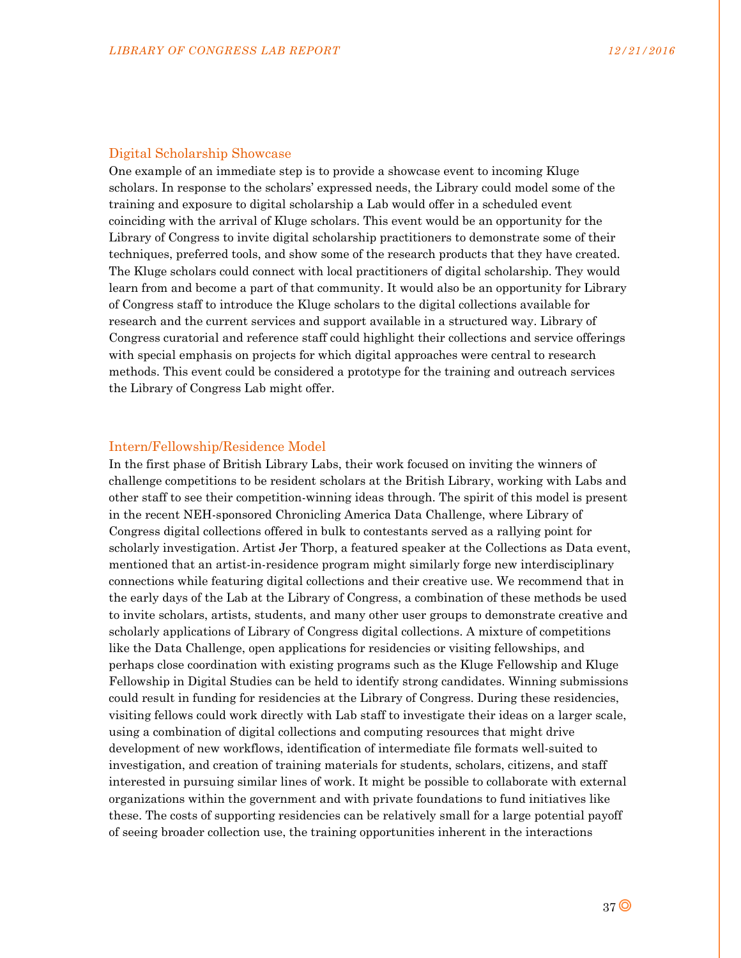#### Digital Scholarship Showcase

One example of an immediate step is to provide a showcase event to incoming Kluge scholars. In response to the scholars' expressed needs, the Library could model some of the training and exposure to digital scholarship a Lab would offer in a scheduled event coinciding with the arrival of Kluge scholars. This event would be an opportunity for the Library of Congress to invite digital scholarship practitioners to demonstrate some of their techniques, preferred tools, and show some of the research products that they have created. The Kluge scholars could connect with local practitioners of digital scholarship. They would learn from and become a part of that community. It would also be an opportunity for Library of Congress staff to introduce the Kluge scholars to the digital collections available for research and the current services and support available in a structured way. Library of Congress curatorial and reference staff could highlight their collections and service offerings with special emphasis on projects for which digital approaches were central to research methods. This event could be considered a prototype for the training and outreach services the Library of Congress Lab might offer.

#### Intern/Fellowship/Residence Model

In the first phase of British Library Labs, their work focused on inviting the winners of challenge competitions to be resident scholars at the British Library, working with Labs and other staff to see their competition-winning ideas through. The spirit of this model is present in the recent NEH-sponsored Chronicling America Data Challenge, where Library of Congress digital collections offered in bulk to contestants served as a rallying point for scholarly investigation. Artist Jer Thorp, a featured speaker at the Collections as Data event, mentioned that an artist-in-residence program might similarly forge new interdisciplinary connections while featuring digital collections and their creative use. We recommend that in the early days of the Lab at the Library of Congress, a combination of these methods be used to invite scholars, artists, students, and many other user groups to demonstrate creative and scholarly applications of Library of Congress digital collections. A mixture of competitions like the Data Challenge, open applications for residencies or visiting fellowships, and perhaps close coordination with existing programs such as the Kluge Fellowship and Kluge Fellowship in Digital Studies can be held to identify strong candidates. Winning submissions could result in funding for residencies at the Library of Congress. During these residencies, visiting fellows could work directly with Lab staff to investigate their ideas on a larger scale, using a combination of digital collections and computing resources that might drive development of new workflows, identification of intermediate file formats well-suited to investigation, and creation of training materials for students, scholars, citizens, and staff interested in pursuing similar lines of work. It might be possible to collaborate with external organizations within the government and with private foundations to fund initiatives like these. The costs of supporting residencies can be relatively small for a large potential payoff of seeing broader collection use, the training opportunities inherent in the interactions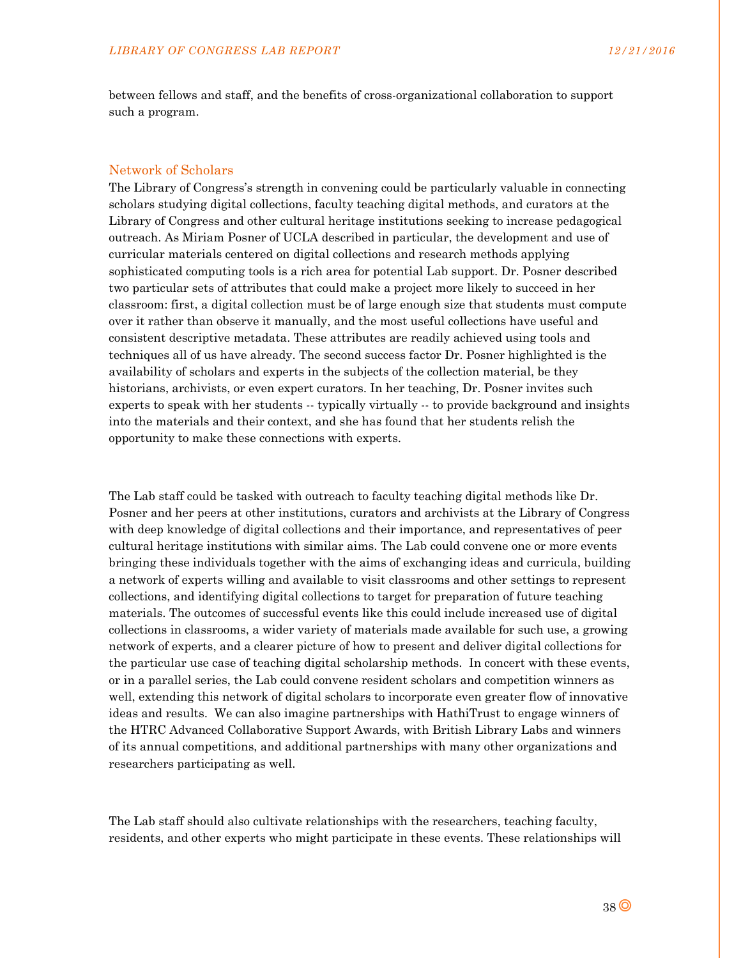between fellows and staff, and the benefits of cross-organizational collaboration to support such a program.

#### Network of Scholars

The Library of Congress's strength in convening could be particularly valuable in connecting scholars studying digital collections, faculty teaching digital methods, and curators at the Library of Congress and other cultural heritage institutions seeking to increase pedagogical outreach. As Miriam Posner of UCLA described in particular, the development and use of curricular materials centered on digital collections and research methods applying sophisticated computing tools is a rich area for potential Lab support. Dr. Posner described two particular sets of attributes that could make a project more likely to succeed in her classroom: first, a digital collection must be of large enough size that students must compute over it rather than observe it manually, and the most useful collections have useful and consistent descriptive metadata. These attributes are readily achieved using tools and techniques all of us have already. The second success factor Dr. Posner highlighted is the availability of scholars and experts in the subjects of the collection material, be they historians, archivists, or even expert curators. In her teaching, Dr. Posner invites such experts to speak with her students -- typically virtually -- to provide background and insights into the materials and their context, and she has found that her students relish the opportunity to make these connections with experts.

The Lab staff could be tasked with outreach to faculty teaching digital methods like Dr. Posner and her peers at other institutions, curators and archivists at the Library of Congress with deep knowledge of digital collections and their importance, and representatives of peer cultural heritage institutions with similar aims. The Lab could convene one or more events bringing these individuals together with the aims of exchanging ideas and curricula, building a network of experts willing and available to visit classrooms and other settings to represent collections, and identifying digital collections to target for preparation of future teaching materials. The outcomes of successful events like this could include increased use of digital collections in classrooms, a wider variety of materials made available for such use, a growing network of experts, and a clearer picture of how to present and deliver digital collections for the particular use case of teaching digital scholarship methods. In concert with these events, or in a parallel series, the Lab could convene resident scholars and competition winners as well, extending this network of digital scholars to incorporate even greater flow of innovative ideas and results. We can also imagine partnerships with HathiTrust to engage winners of the HTRC Advanced Collaborative Support Awards, with British Library Labs and winners of its annual competitions, and additional partnerships with many other organizations and researchers participating as well.

The Lab staff should also cultivate relationships with the researchers, teaching faculty, residents, and other experts who might participate in these events. These relationships will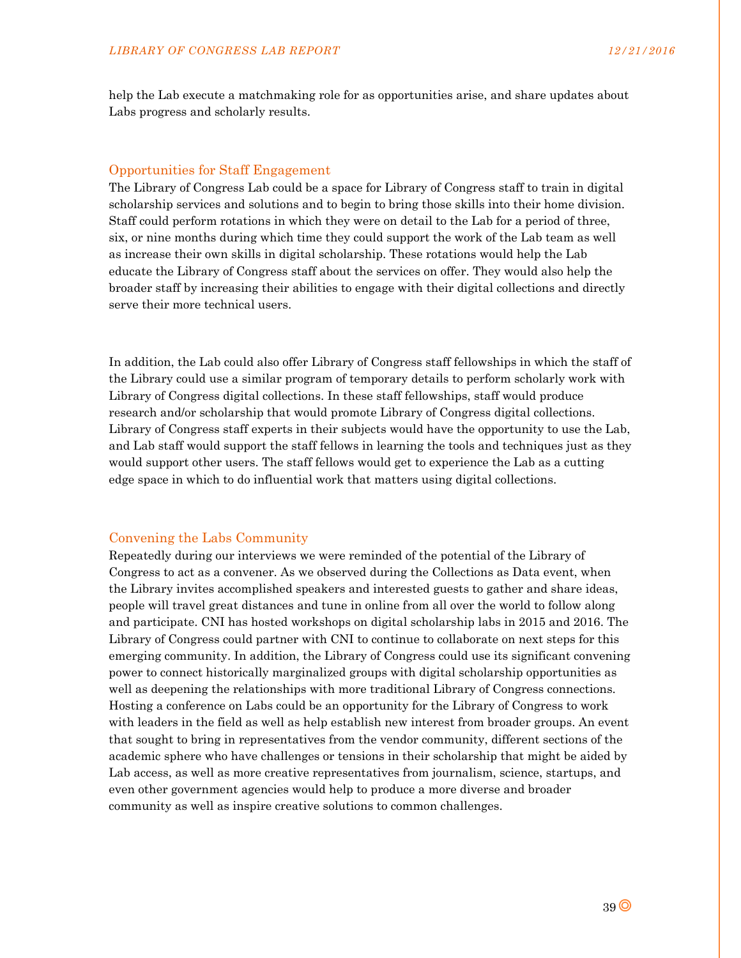help the Lab execute a matchmaking role for as opportunities arise, and share updates about Labs progress and scholarly results.

#### Opportunities for Staff Engagement

The Library of Congress Lab could be a space for Library of Congress staff to train in digital scholarship services and solutions and to begin to bring those skills into their home division. Staff could perform rotations in which they were on detail to the Lab for a period of three, six, or nine months during which time they could support the work of the Lab team as well as increase their own skills in digital scholarship. These rotations would help the Lab educate the Library of Congress staff about the services on offer. They would also help the broader staff by increasing their abilities to engage with their digital collections and directly serve their more technical users.

In addition, the Lab could also offer Library of Congress staff fellowships in which the staff of the Library could use a similar program of temporary details to perform scholarly work with Library of Congress digital collections. In these staff fellowships, staff would produce research and/or scholarship that would promote Library of Congress digital collections. Library of Congress staff experts in their subjects would have the opportunity to use the Lab, and Lab staff would support the staff fellows in learning the tools and techniques just as they would support other users. The staff fellows would get to experience the Lab as a cutting edge space in which to do influential work that matters using digital collections.

#### Convening the Labs Community

Repeatedly during our interviews we were reminded of the potential of the Library of Congress to act as a convener. As we observed during the Collections as Data event, when the Library invites accomplished speakers and interested guests to gather and share ideas, people will travel great distances and tune in online from all over the world to follow along and participate. CNI has hosted workshops on digital scholarship labs in 2015 and 2016. The Library of Congress could partner with CNI to continue to collaborate on next steps for this emerging community. In addition, the Library of Congress could use its significant convening power to connect historically marginalized groups with digital scholarship opportunities as well as deepening the relationships with more traditional Library of Congress connections. Hosting a conference on Labs could be an opportunity for the Library of Congress to work with leaders in the field as well as help establish new interest from broader groups. An event that sought to bring in representatives from the vendor community, different sections of the academic sphere who have challenges or tensions in their scholarship that might be aided by Lab access, as well as more creative representatives from journalism, science, startups, and even other government agencies would help to produce a more diverse and broader community as well as inspire creative solutions to common challenges.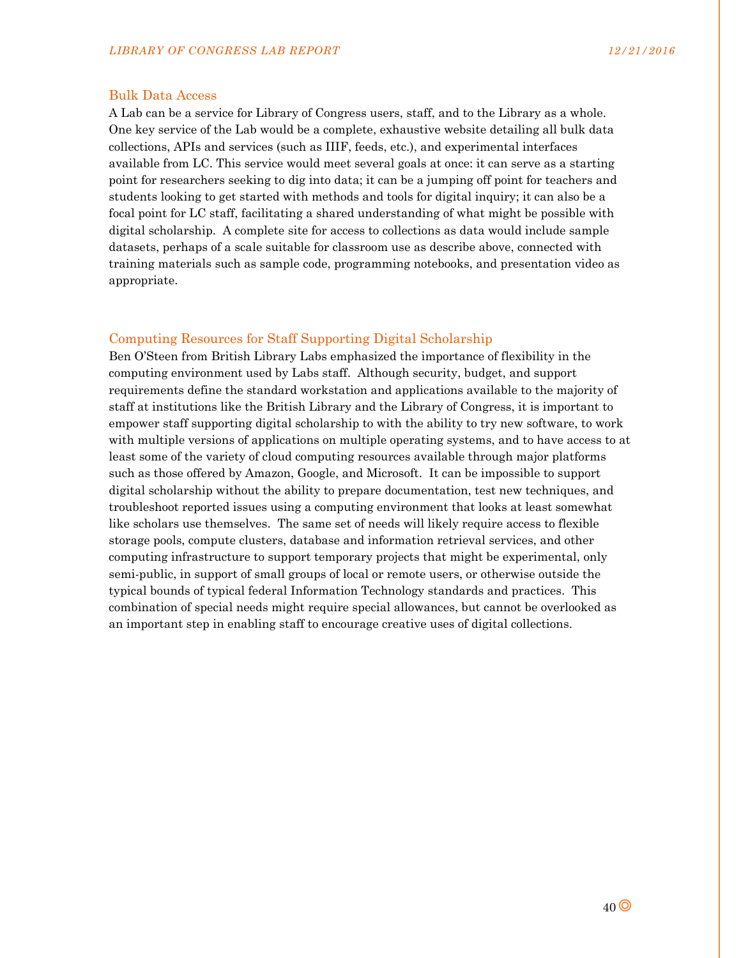#### Bulk Data Access

A Lab can be a service for Library of Congress users, staff, and to the Library as a whole. One key service of the Lab would be a complete, exhaustive website detailing all bulk data collections, APIs and services (such as IIIF, feeds, etc.), and experimental interfaces available from LC. This service would meet several goals at once: it can serve as a starting point for researchers seeking to dig into data; it can be a jumping off point for teachers and students looking to get started with methods and tools for digital inquiry; it can also be a focal point for LC staff, facilitating a shared understanding of what might be possible with digital scholarship. A complete site for access to collections as data would include sample datasets, perhaps of a scale suitable for classroom use as describe above, connected with training materials such as sample code, programming notebooks, and presentation video as appropriate.

#### Computing Resources for Staff Supporting Digital Scholarship

Ben O'Steen from British Library Labs emphasized the importance of flexibility in the computing environment used by Labs staff. Although security, budget, and support requirements define the standard workstation and applications available to the majority of staff at institutions like the British Library and the Library of Congress, it is important to empower staff supporting digital scholarship to with the ability to try new software, to work with multiple versions of applications on multiple operating systems, and to have access to at least some of the variety of cloud computing resources available through major platforms such as those offered by Amazon, Google, and Microsoft. It can be impossible to support digital scholarship without the ability to prepare documentation, test new techniques, and troubleshoot reported issues using a computing environment that looks at least somewhat like scholars use themselves. The same set of needs will likely require access to flexible storage pools, compute clusters, database and information retrieval services, and other computing infrastructure to support temporary projects that might be experimental, only semi-public, in support of small groups of local or remote users, or otherwise outside the typical bounds of typical federal Information Technology standards and practices. This combination of special needs might require special allowances, but cannot be overlooked as an important step in enabling staff to encourage creative uses of digital collections.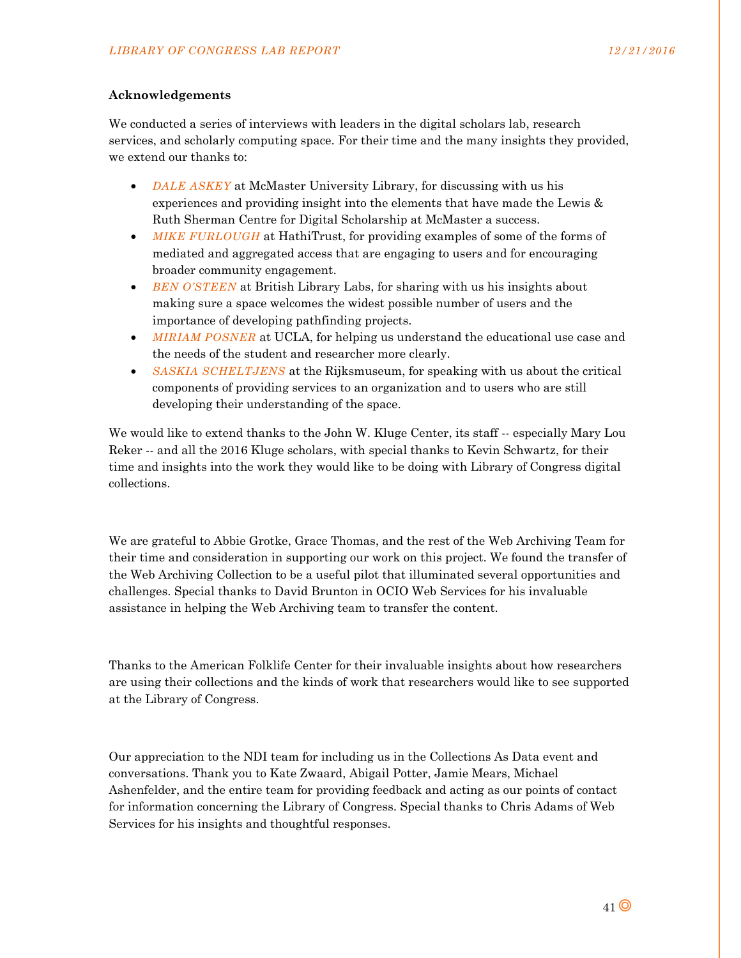### **Acknowledgements**

We conducted a series of interviews with leaders in the digital scholars lab, research services, and scholarly computing space. For their time and the many insights they provided, we extend our thanks to:

- *DALE ASKEY* at McMaster University Library, for discussing with us his experiences and providing insight into the elements that have made the Lewis & Ruth Sherman Centre for Digital Scholarship at McMaster a success.
- *MIKE FURLOUGH* at HathiTrust, for providing examples of some of the forms of mediated and aggregated access that are engaging to users and for encouraging broader community engagement.
- *BEN O'STEEN* at British Library Labs, for sharing with us his insights about making sure a space welcomes the widest possible number of users and the importance of developing pathfinding projects.
- *MIRIAM POSNER* at UCLA, for helping us understand the educational use case and the needs of the student and researcher more clearly.
- *SASKIA SCHELTJENS* at the Rijksmuseum, for speaking with us about the critical components of providing services to an organization and to users who are still developing their understanding of the space.

We would like to extend thanks to the John W. Kluge Center, its staff -- especially Mary Lou Reker -- and all the 2016 Kluge scholars, with special thanks to Kevin Schwartz, for their time and insights into the work they would like to be doing with Library of Congress digital collections.

We are grateful to Abbie Grotke, Grace Thomas, and the rest of the Web Archiving Team for their time and consideration in supporting our work on this project. We found the transfer of the Web Archiving Collection to be a useful pilot that illuminated several opportunities and challenges. Special thanks to David Brunton in OCIO Web Services for his invaluable assistance in helping the Web Archiving team to transfer the content.

Thanks to the American Folklife Center for their invaluable insights about how researchers are using their collections and the kinds of work that researchers would like to see supported at the Library of Congress.

Our appreciation to the NDI team for including us in the Collections As Data event and conversations. Thank you to Kate Zwaard, Abigail Potter, Jamie Mears, Michael Ashenfelder, and the entire team for providing feedback and acting as our points of contact for information concerning the Library of Congress. Special thanks to Chris Adams of Web Services for his insights and thoughtful responses.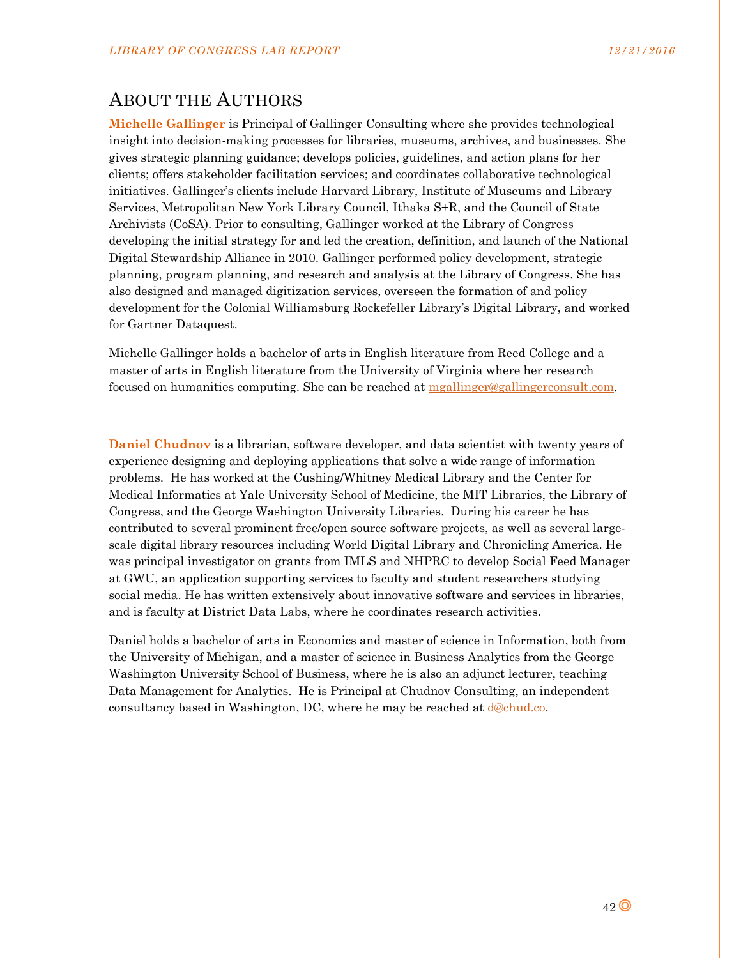# ABOUT THE AUTHORS

**Michelle Gallinger** is Principal of Gallinger Consulting where she provides technological insight into decision-making processes for libraries, museums, archives, and businesses. She gives strategic planning guidance; develops policies, guidelines, and action plans for her clients; offers stakeholder facilitation services; and coordinates collaborative technological initiatives. Gallinger's clients include Harvard Library, Institute of Museums and Library Services, Metropolitan New York Library Council, Ithaka S+R, and the Council of State Archivists (CoSA). Prior to consulting, Gallinger worked at the Library of Congress developing the initial strategy for and led the creation, definition, and launch of the National Digital Stewardship Alliance in 2010. Gallinger performed policy development, strategic planning, program planning, and research and analysis at the Library of Congress. She has also designed and managed digitization services, overseen the formation of and policy development for the Colonial Williamsburg Rockefeller Library's Digital Library, and worked for Gartner Dataquest.

Michelle Gallinger holds a bachelor of arts in English literature from Reed College and a master of arts in English literature from the University of Virginia where her research focused on humanities computing. She can be reached at mgallinger@gallingerconsult.com.

**Daniel Chudnov** is a librarian, software developer, and data scientist with twenty years of experience designing and deploying applications that solve a wide range of information problems. He has worked at the Cushing/Whitney Medical Library and the Center for Medical Informatics at Yale University School of Medicine, the MIT Libraries, the Library of Congress, and the George Washington University Libraries. During his career he has contributed to several prominent free/open source software projects, as well as several largescale digital library resources including World Digital Library and Chronicling America. He was principal investigator on grants from IMLS and NHPRC to develop Social Feed Manager at GWU, an application supporting services to faculty and student researchers studying social media. He has written extensively about innovative software and services in libraries, and is faculty at District Data Labs, where he coordinates research activities.

Daniel holds a bachelor of arts in Economics and master of science in Information, both from the University of Michigan, and a master of science in Business Analytics from the George Washington University School of Business, where he is also an adjunct lecturer, teaching Data Management for Analytics. He is Principal at Chudnov Consulting, an independent consultancy based in Washington, DC, where he may be reached at  $d@chud.co$ .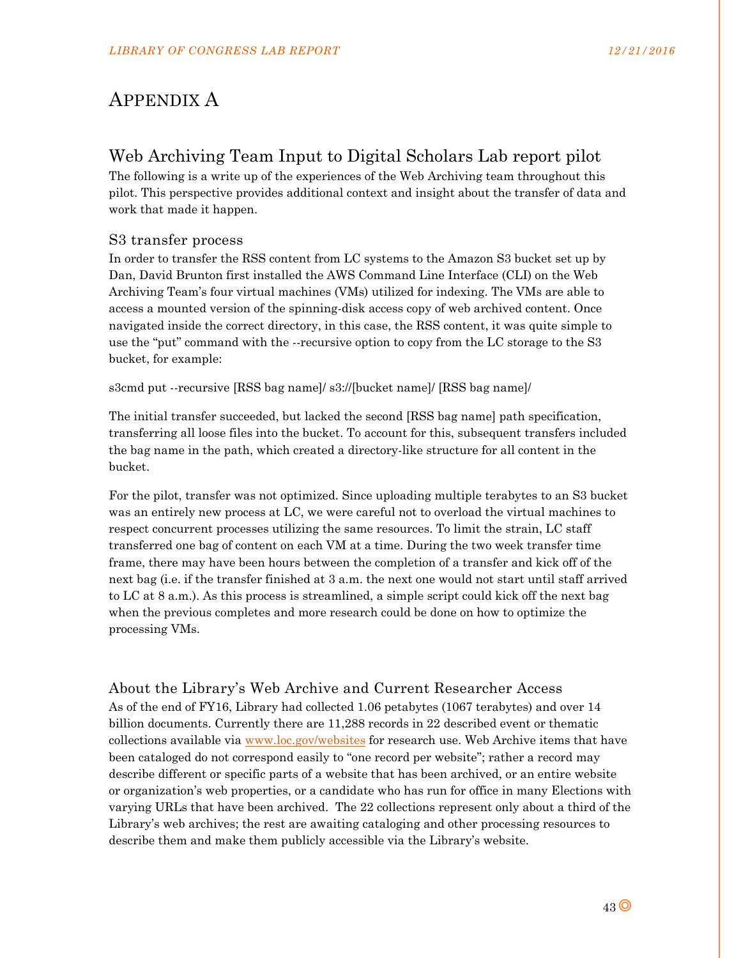# APPENDIX A

# Web Archiving Team Input to Digital Scholars Lab report pilot

The following is a write up of the experiences of the Web Archiving team throughout this pilot. This perspective provides additional context and insight about the transfer of data and work that made it happen.

## S3 transfer process

In order to transfer the RSS content from LC systems to the Amazon S3 bucket set up by Dan, David Brunton first installed the AWS Command Line Interface (CLI) on the Web Archiving Team's four virtual machines (VMs) utilized for indexing. The VMs are able to access a mounted version of the spinning-disk access copy of web archived content. Once navigated inside the correct directory, in this case, the RSS content, it was quite simple to use the "put" command with the --recursive option to copy from the LC storage to the S3 bucket, for example:

s3cmd put --recursive [RSS bag name]/ s3://[bucket name]/ [RSS bag name]/

The initial transfer succeeded, but lacked the second [RSS bag name] path specification, transferring all loose files into the bucket. To account for this, subsequent transfers included the bag name in the path, which created a directory-like structure for all content in the bucket.

For the pilot, transfer was not optimized. Since uploading multiple terabytes to an S3 bucket was an entirely new process at LC, we were careful not to overload the virtual machines to respect concurrent processes utilizing the same resources. To limit the strain, LC staff transferred one bag of content on each VM at a time. During the two week transfer time frame, there may have been hours between the completion of a transfer and kick off of the next bag (i.e. if the transfer finished at 3 a.m. the next one would not start until staff arrived to LC at 8 a.m.). As this process is streamlined, a simple script could kick off the next bag when the previous completes and more research could be done on how to optimize the processing VMs.

## About the Library's Web Archive and Current Researcher Access

As of the end of FY16, Library had collected 1.06 petabytes (1067 terabytes) and over 14 billion documents. Currently there are 11,288 records in 22 described event or thematic collections available via www.loc.gov/websites for research use. Web Archive items that have been cataloged do not correspond easily to "one record per website"; rather a record may describe different or specific parts of a website that has been archived, or an entire website or organization's web properties, or a candidate who has run for office in many Elections with varying URLs that have been archived. The 22 collections represent only about a third of the Library's web archives; the rest are awaiting cataloging and other processing resources to describe them and make them publicly accessible via the Library's website.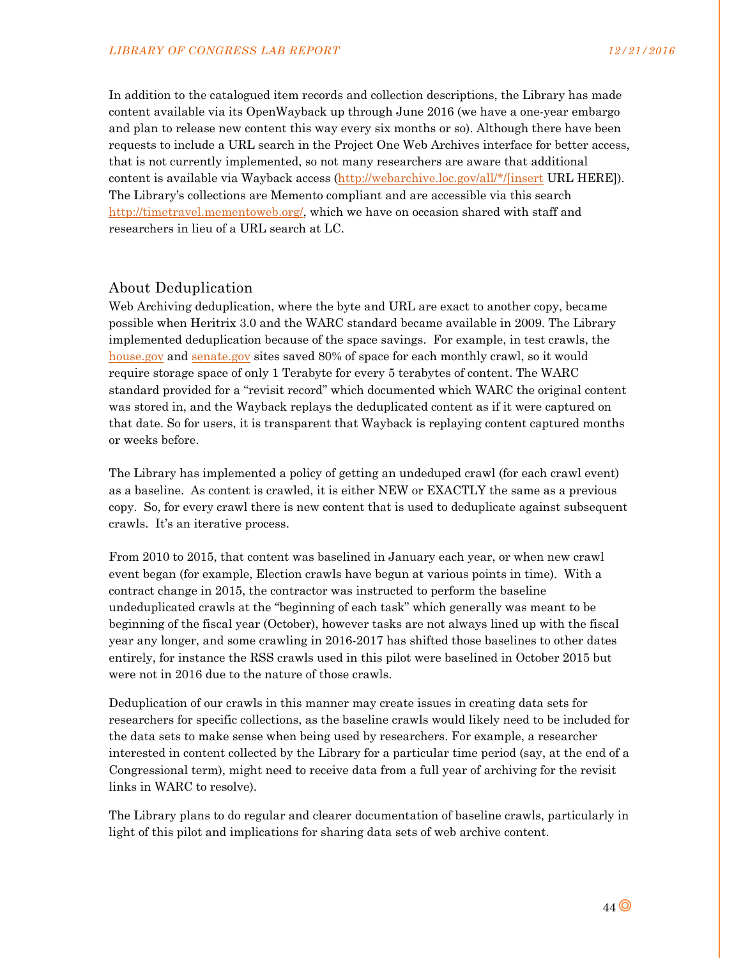In addition to the catalogued item records and collection descriptions, the Library has made content available via its OpenWayback up through June 2016 (we have a one-year embargo and plan to release new content this way every six months or so). Although there have been requests to include a URL search in the Project One Web Archives interface for better access, that is not currently implemented, so not many researchers are aware that additional content is available via Wayback access (http://webarchive.loc.gov/all/\*/[insert URL HERE]). The Library's collections are Memento compliant and are accessible via this search http://timetravel.mementoweb.org/, which we have on occasion shared with staff and researchers in lieu of a URL search at LC.

#### About Deduplication

Web Archiving deduplication, where the byte and URL are exact to another copy, became possible when Heritrix 3.0 and the WARC standard became available in 2009. The Library implemented deduplication because of the space savings. For example, in test crawls, the house.gov and senate.gov sites saved 80% of space for each monthly crawl, so it would require storage space of only 1 Terabyte for every 5 terabytes of content. The WARC standard provided for a "revisit record" which documented which WARC the original content was stored in, and the Wayback replays the deduplicated content as if it were captured on that date. So for users, it is transparent that Wayback is replaying content captured months or weeks before.

The Library has implemented a policy of getting an undeduped crawl (for each crawl event) as a baseline. As content is crawled, it is either NEW or EXACTLY the same as a previous copy. So, for every crawl there is new content that is used to deduplicate against subsequent crawls. It's an iterative process.

From 2010 to 2015, that content was baselined in January each year, or when new crawl event began (for example, Election crawls have begun at various points in time). With a contract change in 2015, the contractor was instructed to perform the baseline undeduplicated crawls at the "beginning of each task" which generally was meant to be beginning of the fiscal year (October), however tasks are not always lined up with the fiscal year any longer, and some crawling in 2016-2017 has shifted those baselines to other dates entirely, for instance the RSS crawls used in this pilot were baselined in October 2015 but were not in 2016 due to the nature of those crawls.

Deduplication of our crawls in this manner may create issues in creating data sets for researchers for specific collections, as the baseline crawls would likely need to be included for the data sets to make sense when being used by researchers. For example, a researcher interested in content collected by the Library for a particular time period (say, at the end of a Congressional term), might need to receive data from a full year of archiving for the revisit links in WARC to resolve).

The Library plans to do regular and clearer documentation of baseline crawls, particularly in light of this pilot and implications for sharing data sets of web archive content.